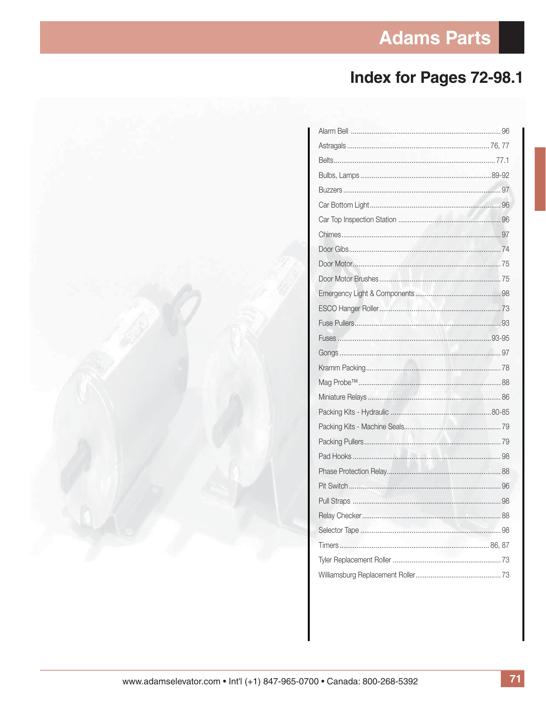## **Adams Parts**

## Index for Pages 72-98.1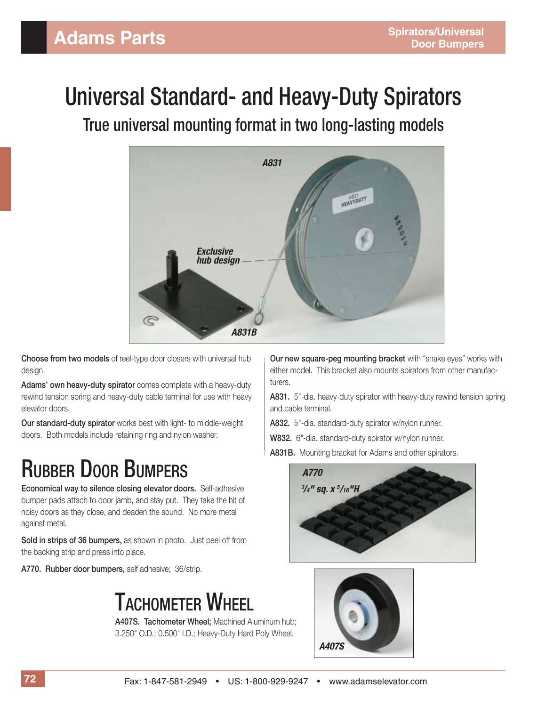# Universal Standard- and Heavy-Duty Spirators

True universal mounting format in two long-lasting models



**Choose from two models** of reel-type door closers with universal hub design.

**Adams' own heavy-duty spirator** comes complete with a heavy-duty rewind tension spring and heavy-duty cable terminal for use with heavy elevator doors.

**Our standard-duty spirator** works best with light- to middle-weight doors. Both models include retaining ring and nylon washer.

# RUBBER DOOR BUMPERS

**Economical way to silence closing elevator doors.** Self-adhesive bumper pads attach to door jamb, and stay put. They take the hit of noisy doors as they close, and deaden the sound. No more metal against metal.

**Sold in strips of 36 bumpers,** as shown in photo. Just peel off from the backing strip and press into place.

**A770. Rubber door bumpers,** self adhesive; 36/strip.

# TACHOMETER WHEEL

**A407S. Tachometer Wheel;** Machined Aluminum hub; 3.250" O.D.; 0.500" I.D.; Heavy-Duty Hard Poly Wheel.

**Our new square-peg mounting bracket** with "snake eyes" works with either model. This bracket also mounts spirators from other manufacturers.

**A831.** 5"-dia. heavy-duty spirator with heavy-duty rewind tension spring and cable terminal.

**A832.** 5"-dia. standard-duty spirator w/nylon runner.

**W832.** 6"-dia. standard-duty spirator w/nylon runner.

**A831B.** Mounting bracket for Adams and other spirators.



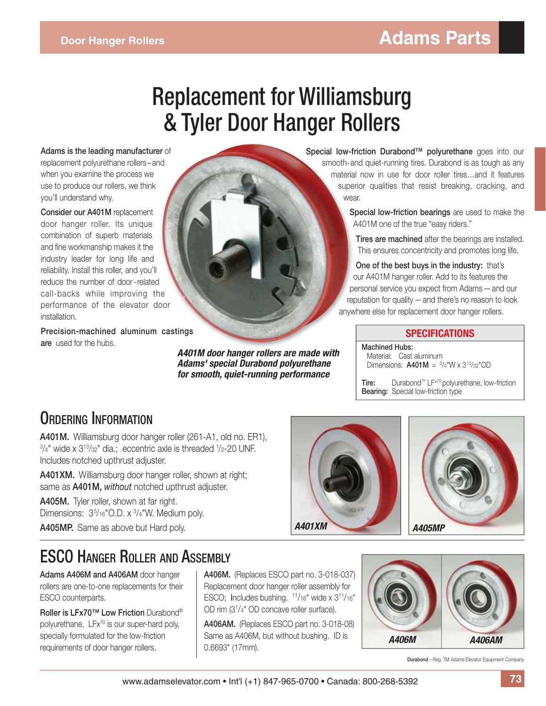# Replacement for Williamsburg & Tyler Door Hanger Rollers

**Adams is the leading manufacturer** of replacement polyurethane rollers – and when you examine the process we use to produce our rollers, we think you'll understand why.

**Consider our A401M** replacement door hanger roller. Its unique combination of superb materials and fine workmanship makes it the industry leader for long life and reliability. Install this roller, and you'll reduce the number of door - related call-backs while improving the performance of the elevator door installation.

**Precision-machined aluminum castings are** used for the hubs.

*A401M door hanger rollers are made with Adams' special Durabond polyurethane for smooth, quiet-running performance*

**Special low-friction Durabond™ polyurethane** goes into our smooth- and quiet-running tires. Durabond is as tough as any material now in use for door roller tires…and it features superior qualities that resist breaking, cracking, and wear

> **Special low-friction bearings** are used to make the A401M one of the true "easy riders."

**Tires are machined** after the bearings are installed. This ensures concentricity and promotes long life.

**One of the best buys in the industry:** that's our A401M hanger roller. Add to its features the personal service you expect from Adams — and our reputation for quality — and there's no reason to look anywhere else for replacement door hanger rollers.

#### **SPECIFICATIONS**

**Machined Hubs:** Material: Cast aluminum Dimensions:  $A401M = \frac{3}{4}W \times 3^{13}/32^{10}$ OD

Tire: Durabond<sup>™</sup> LF<sup>x70</sup> polyurethane, low-friction **Bearing:** Special low-friction type

#### ORDERING INFORMATION

**A401M.** Williamsburg door hanger roller (261-A1, old no. ER1),  $3/4"$  wide x  $3^{13}/32"$  dia.; eccentric axle is threaded  $1/2$ -20 UNF. Includes notched upthrust adjuster.

**A401XM.** Williamsburg door hanger roller, shown at right; same as **A401M,** *without* notched upthrust adjuster.

A405M. Tyler roller, shown at far right. Dimensions:  $3\frac{5}{16}$ "O.D. x  $\frac{3}{4}$ "W. Medium poly.

**A405MP.** Same as above but Hard poly.





### ESCO HANGER ROLLER AND ASSEMBLY

**Adams A406M and A406AM** door hanger rollers are one-to-one replacements for their ESCO counterparts.

**Roller is LFx70™ Low Friction** Durabond® polyurethane. LFx<sup>70</sup> is our super-hard poly, specially formulated for the low-friction requirements of door hanger rollers.

**A406M.** (Replaces ESCO part no. 3-018-037) Replacement door hanger roller assembly for ESCO; Includes bushing.  $11/16"$  wide x  $311/16"$ OD rim (31 /4" OD concave roller surface).

**A406AM.** (Replaces ESCO part no. 3-018-08) Same as A406M, but without bushing. ID is 0.6693" (17mm).



**Durabond**—Reg. TM Adams Elevator Equipment Company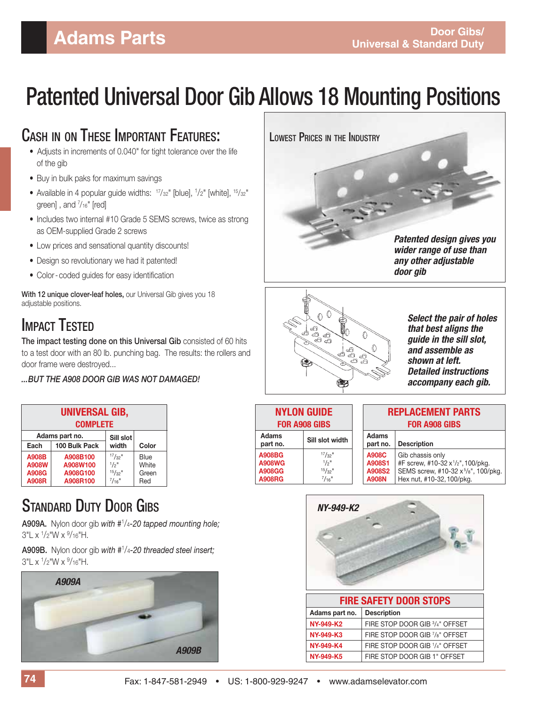# Patented Universal Door Gib Allows 18 Mounting Positions

#### CASH IN ON THESE IMPORTANT FEATURES:

- Adjusts in increments of 0.040" for tight tolerance over the life of the gib
- Buy in bulk paks for maximum savings
- Available in 4 popular guide widths:  $17/32$ " [blue],  $1/2$ " [white],  $15/32$ " green], and  $\frac{7}{16}$ " [red]
	- Includes two internal #10 Grade 5 SEMS screws, twice as strong as OEM-supplied Grade 2 screws
	- Low prices and sensational quantity discounts!
	- Design so revolutionary we had it patented!
	- Color-coded guides for easy identification

**With 12 unique clover-leaf holes,** our Universal Gib gives you 18 adjustable positions.

### IMPACT TESTED

**The impact testing done on this Universal Gib** consisted of 60 hits to a test door with an 80 lb. punching bag. The results: the rollers and door frame were destroyed...

*... BUT THE A908 DOOR GIB WAS NOT DAMAGED!*

| <b>UNIVERSAL GIB,</b><br><b>COMPLETE</b> |                |                       |       |
|------------------------------------------|----------------|-----------------------|-------|
|                                          | Adams part no. | Sill slot             |       |
| Each                                     | 100 Bulk Pack  | width                 | Color |
| <b>A908B</b>                             | A908B100       | $17/32$ "             | Blue  |
| A908W                                    | A908W100       | $1/2$ <sup>11</sup>   | White |
| A908G                                    | A908G100       | $15/32$ <sup>11</sup> | Green |
| <b>A908R</b>                             | A908R100       | $^{7}/_{16}$ "        | Red   |

### **STANDARD DUTY DOOR GIRS**

**A909A.** Nylon door gib *with #*<sup>1</sup> /4*-20 tapped mounting hole;* 3"L x <sup>1</sup>/2"W x <sup>9</sup>/16"H.

**A909B.** Nylon door gib *with #*<sup>1</sup> /4*-20 threaded steel insert;*  3"L x <sup>1</sup>/2"W x <sup>9</sup>/16"H.







*Select the pair of holes that best aligns the guide in the sill slot, and assemble as shown at left. Detailed instructions accompany each gib.*

| <b>NYLON GUIDE</b><br><b>FOR A908 GIBS</b>                       |                                                                             |  |  |  |
|------------------------------------------------------------------|-----------------------------------------------------------------------------|--|--|--|
| <b>Adams</b><br>Sill slot width<br>part no.                      |                                                                             |  |  |  |
| <b>A908BG</b><br><b>A908WG</b><br><b>A908GG</b><br><b>A908RG</b> | $17/32$ "<br>$1/2$ <sup>11</sup><br>$15/32$ <sup>11</sup><br>$^{7}/_{16}$ " |  |  |  |

#### **REPLACEMENT PARTS FOR A908 GIBS**

| Adams<br>part no.      | <b>Description</b>                                         |
|------------------------|------------------------------------------------------------|
| <b>A908C</b><br>A908S1 | Gib chassis only<br>#F screw, #10-32 $x^{1/2}$ ", 100/pkg. |
| A908S2                 | SEMS screw, #10-32 x 5/8", 100/pkg.                        |
| <b>A908N</b>           | Hex nut, #10-32, 100/pkg.                                  |



| <b>FIRE SAFETY DOOR STOPS</b> |                                |  |  |  |
|-------------------------------|--------------------------------|--|--|--|
| Adams part no.                | <b>Description</b>             |  |  |  |
| NY-949-K2                     | FIRE STOP DOOR GIB 3/4" OFFSET |  |  |  |
| <b>NY-949-K3</b>              | FIRE STOP DOOR GIB 7/8" OFFSET |  |  |  |
| <b>NY-949-K4</b>              | FIRE STOP DOOR GIB 1/4" OFFSET |  |  |  |
| NY-949-K5                     | FIRE STOP DOOR GIB 1" OFFSET   |  |  |  |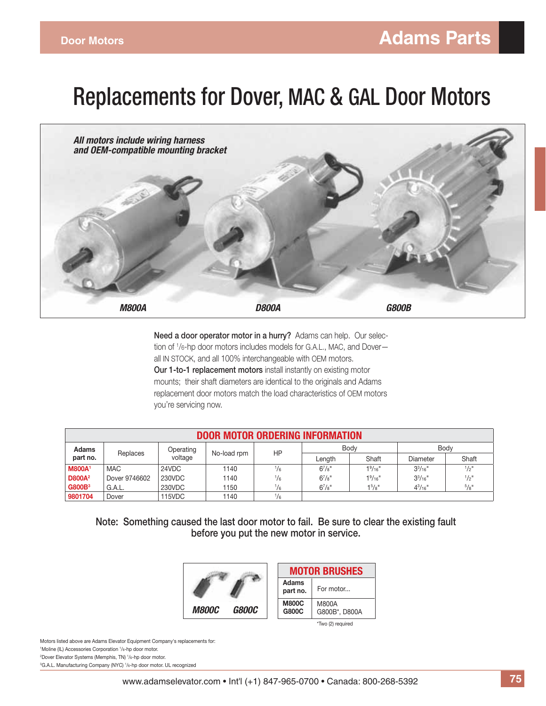# Replacements for Dover, MAC & GAL Door Motors



**Need a door operator motor in a hurry?** Adams can help. Our selection of 1 /6-hp door motors includes models for G.A.L., MAC, and Dover all IN STOCK, and all 100% interchangeable with OEM motors. **Our 1-to-1 replacement motors** install instantly on existing motor mounts; their shaft diameters are identical to the originals and Adams replacement door motors match the load characteristics of OEM motors you're servicing now.

| <b>DOOR MOTOR ORDERING INFORMATION</b> |               |           |             |               |             |                                  |                 |                     |
|----------------------------------------|---------------|-----------|-------------|---------------|-------------|----------------------------------|-----------------|---------------------|
| <b>Adams</b>                           |               | Operating |             | HP            | Body        |                                  | Body            |                     |
| part no.                               | Replaces      | voltage   | No-load rpm |               | Lenath      | Shaft                            | Diameter        | Shaft               |
| <b>M800A1</b>                          | <b>MAC</b>    | 24VDC     | 1140        | $\frac{1}{6}$ | $6^{7}/s$ " | 1 <sup>9</sup> /16 <sup>11</sup> | $3^{3}/_{16}$ " | $1/2$ <sup>11</sup> |
| <b>D800A</b> <sup>2</sup>              | Dover 9746602 | 230VDC    | 1140        | $\frac{1}{6}$ | $6^{7}/s$ " | 1 <sup>9</sup> /16 <sup>''</sup> | $3^{3}/_{16}$   | $1/2$ <sup>11</sup> |
| <b>G800B</b> <sup>3</sup>              | G.A.L.        | 230VDC    | 1150        | $\frac{1}{6}$ | $6^{7}/s$ " | 1 <sup>5</sup> /8"               | $4^{3}/_{16}$ " | $^{5}/\mathrm{g}$   |
| 9801704                                | Dover         | 115VDC    | 1140        | $\frac{1}{6}$ |             |                                  |                 |                     |

**Note: Something caused the last door motor to fail. Be sure to clear the existing fault before you put the new motor in service.**



Motors listed above are Adams Elevator Equipment Company's replacements for: Moline (IL) Accessories Corporation 1 /6-hp door motor. Dover Elevator Systems (Memphis, TN) 1 /6-hp door motor. G.A.L. Manufacturing Company (NYC) 1 /6-hp door motor. UL recognized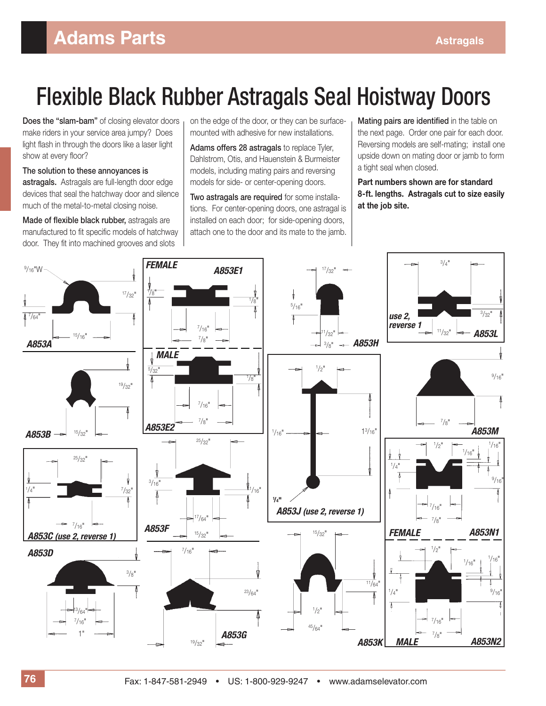# Flexible Black Rubber Astragals Seal Hoistway Doors

**Does the "slam-bam"** of closing elevator doors make riders in your service area jumpy? Does light flash in through the doors like a laser light show at every floor?

**The solution to these annoyances is** 

**astragals.** Astragals are full-length door edge devices that seal the hatchway door and silence much of the metal-to-metal closing noise.

**Made of flexible black rubber, astragals are** manufactured to fit specific models of hatchway door. They fit into machined grooves and slots

on the edge of the door, or they can be surfacemounted with adhesive for new installations.

**Adams offers 28 astragals** to replace Tyler, Dahlstrom, Otis, and Hauenstein & Burmeister models, including mating pairs and reversing models for side- or center-opening doors.

**Two astragals are required** for some installations. For center-opening doors, one astragal is installed on each door; for side-opening doors, attach one to the door and its mate to the jamb.

**Mating pairs are identified** in the table on the next page. Order one pair for each door. Reversing models are self-mating; install one upside down on mating door or jamb to form a tight seal when closed.

#### **Part numbers shown are for standard 8 - ft. lengths. Astragals cut to size easily at the job site.**

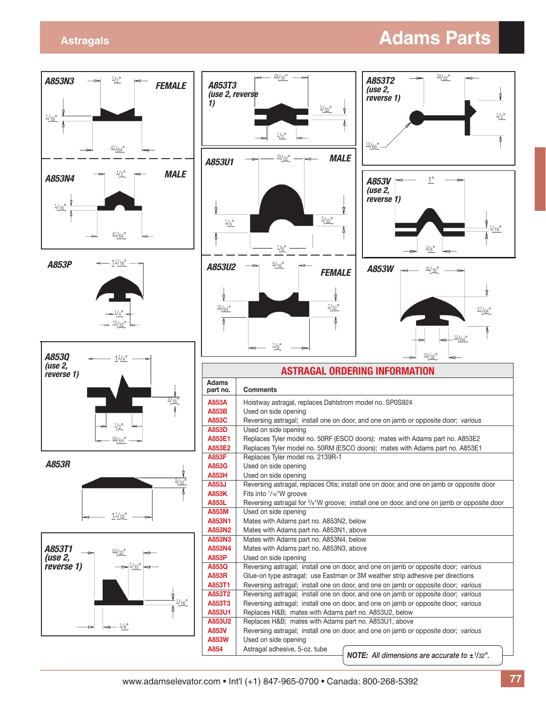#### **Astragals Adams Parts**

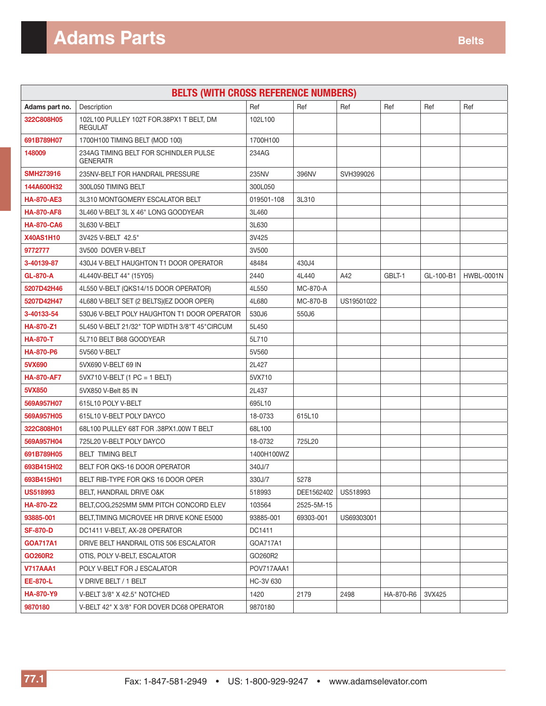| <b>BELTS (WITH CROSS REFERENCE NUMBERS)</b> |                                                            |            |            |            |           |           |                   |
|---------------------------------------------|------------------------------------------------------------|------------|------------|------------|-----------|-----------|-------------------|
| Adams part no.                              | Description                                                | Ref        | Ref        | Ref        | Ref       | Ref       | Ref               |
| 322C808H05                                  | 102L100 PULLEY 102T FOR.38PX1 T BELT, DM<br><b>REGULAT</b> | 102L100    |            |            |           |           |                   |
| 691B789H07                                  | 1700H100 TIMING BELT (MOD 100)                             | 1700H100   |            |            |           |           |                   |
| 148009                                      | 234AG TIMING BELT FOR SCHINDLER PULSE<br><b>GENERATR</b>   | 234AG      |            |            |           |           |                   |
| <b>SMH273916</b>                            | 235NV-BELT FOR HANDRAIL PRESSURE                           | 235NV      | 396NV      | SVH399026  |           |           |                   |
| 144A600H32                                  | 300L050 TIMING BELT                                        | 300L050    |            |            |           |           |                   |
| <b>HA-870-AE3</b>                           | 3L310 MONTGOMERY ESCALATOR BELT                            | 019501-108 | 3L310      |            |           |           |                   |
| <b>HA-870-AF8</b>                           | 3L460 V-BELT 3L X 46" LONG GOODYEAR                        | 3L460      |            |            |           |           |                   |
| <b>HA-870-CA6</b>                           | 3L630 V-BELT                                               | 3L630      |            |            |           |           |                   |
| <b>X40AS1H10</b>                            | 3V425 V-BELT 42.5"                                         | 3V425      |            |            |           |           |                   |
| 9772777                                     | 3V500 DOVER V-BELT                                         | 3V500      |            |            |           |           |                   |
| 3-40139-87                                  | 430J4 V-BELT HAUGHTON T1 DOOR OPERATOR                     | 48484      | 430J4      |            |           |           |                   |
| <b>GL-870-A</b>                             | 4L440V-BELT 44" (15Y05)                                    | 2440       | 4L440      | A42        | GBLT-1    | GL-100-B1 | <b>HWBL-0001N</b> |
| 5207D42H46                                  | 4L550 V-BELT (QKS14/15 DOOR OPERATOR)                      | 4L550      | MC-870-A   |            |           |           |                   |
| 5207D42H47                                  | 4L680 V-BELT SET (2 BELTS)(EZ DOOR OPER)                   | 4L680      | MC-870-B   | US19501022 |           |           |                   |
| 3-40133-54                                  | 530J6 V-BELT POLY HAUGHTON T1 DOOR OPERATOR                | 530J6      | 550J6      |            |           |           |                   |
| HA-870-Z1                                   | 5L450 V-BELT 21/32" TOP WIDTH 3/8"T 45"CIRCUM              | 5L450      |            |            |           |           |                   |
| <b>HA-870-T</b>                             | 5L710 BELT B68 GOODYEAR                                    | 5L710      |            |            |           |           |                   |
| <b>HA-870-P6</b>                            | 5V560 V-BELT                                               | 5V560      |            |            |           |           |                   |
| 5VX690                                      | 5VX690 V-BELT 69 IN                                        | 2L427      |            |            |           |           |                   |
| <b>HA-870-AF7</b>                           | 5VX710 V-BELT (1 PC = 1 BELT)                              | 5VX710     |            |            |           |           |                   |
| 5VX850                                      | 5VX850 V-Belt 85 IN                                        | 2L437      |            |            |           |           |                   |
| 569A957H07                                  | 615L10 POLY V-BELT                                         | 695L10     |            |            |           |           |                   |
| 569A957H05                                  | 615L10 V-BELT POLY DAYCO                                   | 18-0733    | 615L10     |            |           |           |                   |
| 322C808H01                                  | 68L100 PULLEY 68T FOR .38PX1.00W T BELT                    | 68L100     |            |            |           |           |                   |
| 569A957H04                                  | 725L20 V-BELT POLY DAYCO                                   | 18-0732    | 725L20     |            |           |           |                   |
| 691B789H05                                  | <b>BELT TIMING BELT</b>                                    | 1400H100WZ |            |            |           |           |                   |
| 693B415H02                                  | BELT FOR QKS-16 DOOR OPERATOR                              | 340J/7     |            |            |           |           |                   |
| 693B415H01                                  | BELT RIB-TYPE FOR QKS 16 DOOR OPER                         | 330J/7     | 5278       |            |           |           |                   |
| <b>US518993</b>                             | BELT, HANDRAIL DRIVE O&K                                   | 518993     | DEE1562402 | US518993   |           |           |                   |
| <b>HA-870-Z2</b>                            | BELT.COG.2525MM 5MM PITCH CONCORD ELEV                     | 103564     | 2525-5M-15 |            |           |           |                   |
| 93885-001                                   | BELT, TIMING MICROVEE HR DRIVE KONE E5000                  | 93885-001  | 69303-001  | US69303001 |           |           |                   |
| <b>SF-870-D</b>                             | DC1411 V-BELT, AX-28 OPERATOR                              | DC1411     |            |            |           |           |                   |
| <b>GOA717A1</b>                             | DRIVE BELT HANDRAIL OTIS 506 ESCALATOR                     | GOA717A1   |            |            |           |           |                   |
| <b>GO260R2</b>                              | OTIS, POLY V-BELT, ESCALATOR                               | GO260R2    |            |            |           |           |                   |
| <b>V717AAA1</b>                             | POLY V-BELT FOR J ESCALATOR                                | POV717AAA1 |            |            |           |           |                   |
| EE-870-L                                    | V DRIVE BELT / 1 BELT                                      | HC-3V 630  |            |            |           |           |                   |
| <b>HA-870-Y9</b>                            | V-BELT 3/8" X 42.5" NOTCHED                                | 1420       | 2179       | 2498       | HA-870-R6 | 3VX425    |                   |
| 9870180                                     | V-BELT 42" X 3/8" FOR DOVER DC68 OPERATOR                  | 9870180    |            |            |           |           |                   |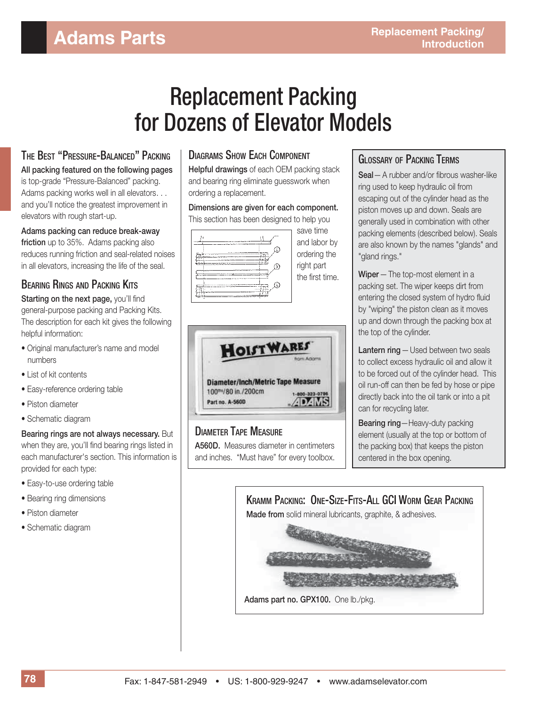# Replacement Packing for Dozens of Elevator Models

#### THE BEST "PRESSURE-BALANCED" PACKING

**All packing featured on the following pages** is top-grade "Pressure-Balanced" packing. Adams packing works well in all elevators. . . and you'll notice the greatest improvement in elevators with rough start-up.

**Adams packing can reduce break-away friction** up to 35%. Adams packing also reduces running friction and seal-related noises in all elevators, increasing the life of the seal.

#### BEARING RINGS AND PACKING KITS

**Starting on the next page, you'll find** general-purpose packing and Packing Kits. The description for each kit gives the following helpful information:

- Original manufacturer's name and model numbers
- List of kit contents
- Easy-reference ordering table
- Piston diameter
- Schematic diagram

**Bearing rings are not always necessary.** But when they are, you'll find bearing rings listed in each manufacturer's section. This information is provided for each type:

- Easy-to-use ordering table
- Bearing ring dimensions
- Piston diameter
- Schematic diagram

#### DIAGRAMS SHOW EACH COMPONENT

**Helpful drawings** of each OEM packing stack and bearing ring eliminate guesswork when ordering a replacement.

**Dimensions are given for each component.** This section has been designed to help you

|   | save time                                                     |
|---|---------------------------------------------------------------|
| ٤ | and labor by<br>ordering the<br>right part<br>the first time. |
|   |                                                               |



DIAMETER TAPE MEASURE **A560D.** Measures diameter in centimeters and inches. "Must have" for every toolbox.

#### GLOSSARY OF PACKING TERMS

**Seal** - A rubber and/or fibrous washer-like ring used to keep hydraulic oil from escaping out of the cylinder head as the piston moves up and down. Seals are generally used in combination with other packing elements (described below). Seals are also known by the names "glands" and "gland rings."

**Wiper** — The top-most element in a packing set. The wiper keeps dirt from entering the closed system of hydro fluid by "wiping" the piston clean as it moves up and down through the packing box at the top of the cylinder.

**Lantern ring** — Used between two seals to collect excess hydraulic oil and allow it to be forced out of the cylinder head. This oil run-off can then be fed by hose or pipe directly back into the oil tank or into a pit can for recycling later.

**Bearing ring**—Heavy-duty packing element (usually at the top or bottom of the packing box) that keeps the piston centered in the box opening.

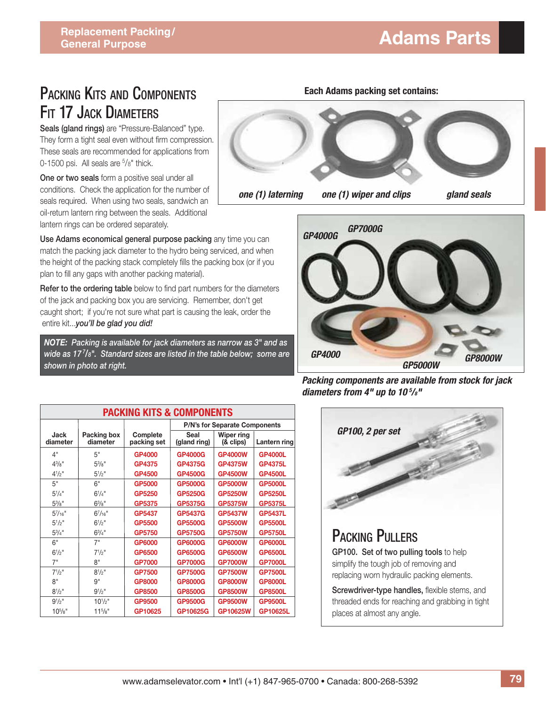### PACKING KITS AND COMPONENTS FIT 17 JACK DIAMETERS

**Seals (gland rings)** are "Pressure-Balanced" type. They form a tight seal even without firm compression. These seals are recommended for applications from 0-1500 psi. All seals are <sup>5</sup>/8" thick.

**One or two seals** form a positive seal under all conditions. Check the application for the number of seals required. When using two seals, sandwich an oil-return lantern ring between the seals. Additional lantern rings can be ordered separately.

**Use Adams economical general purpose packing** any time you can match the packing jack diameter to the hydro being serviced, and when the height of the packing stack completely fills the packing box (or if you plan to fill any gaps with another packing material).

Refer to the ordering table below to find part numbers for the diameters of the jack and packing box you are servicing. Remember, don't get caught short; if you're not sure what part is causing the leak, order the entire kit...*you'll be glad you did!* 

*table below; some are shown in photo at right. Ask NOTE: Packing is available for jack diameters as narrow as 3" and as wide as 17 <sup>7</sup> /8". Standard sizes are listed in the table below; some are shown in photo at right.*

|                   | Eduli Audilis pauking set contains. |             |
|-------------------|-------------------------------------|-------------|
|                   |                                     |             |
| one (1) laterning | one (1) wiper and clips             | gland seals |

**Each Adams packing set contains:**



*Packing components are available from stock for jack diameters from 4" up to 10 <sup>5</sup> /8"*

| <b>PACKING KITS &amp; COMPONENTS</b> |                         |                         |                               |                         |                |
|--------------------------------------|-------------------------|-------------------------|-------------------------------|-------------------------|----------------|
|                                      |                         |                         | P/N's for Separate Components |                         |                |
| Jack<br>diameter                     | Packing box<br>diameter | Complete<br>packing set | Seal<br>(gland ring)          | Wiper ring<br>(& clips) | Lantern ring   |
| 4"                                   | 5"                      | GP4000                  | <b>GP4000G</b>                | <b>GP4000W</b>          | <b>GP4000L</b> |
| $4^{3}/8$ "                          | $5\frac{3}{8}$ "        | <b>GP4375</b>           | <b>GP4375G</b>                | <b>GP4375W</b>          | <b>GP4375L</b> |
| $4^{1}/2$ "                          | $5^{1}/2$ "             | GP4500                  | <b>GP4500G</b>                | <b>GP4500W</b>          | <b>GP4500L</b> |
| 5"                                   | 6"                      | GP5000                  | <b>GP5000G</b>                | <b>GP5000W</b>          | <b>GP5000L</b> |
| $5^{1}/4$ "                          | $6^{1}/4$ "             | GP5250                  | <b>GP5250G</b>                | <b>GP5250W</b>          | <b>GP5250L</b> |
| $5\frac{3}{8}$ "                     | $6^{3}/s$ "             | GP5375                  | <b>GP5375G</b>                | <b>GP5375W</b>          | <b>GP5375L</b> |
| $5^{7}/_{16}$ "                      | $6^{7}/_{16}$ "         | GP5437                  | <b>GP5437G</b>                | <b>GP5437W</b>          | <b>GP5437L</b> |
| $5^{1}/2$ "                          | $6^{1}/2$ "             | <b>GP5500</b>           | <b>GP5500G</b>                | <b>GP5500W</b>          | <b>GP5500L</b> |
| $5^{3}/4$ "                          | $6^{3}/4"$              | <b>GP5750</b>           | <b>GP5750G</b>                | <b>GP5750W</b>          | <b>GP5750L</b> |
| 6"                                   | 7"                      | GP6000                  | <b>GP6000G</b>                | <b>GP6000W</b>          | <b>GP6000L</b> |
| $6^{1/2}$                            | $7^{1/2}$               | GP6500                  | <b>GP6500G</b>                | <b>GP6500W</b>          | <b>GP6500L</b> |
| 7"                                   | 8"                      | <b>GP7000</b>           | <b>GP7000G</b>                | <b>GP7000W</b>          | <b>GP7000L</b> |
| $7^{1/2}$ "                          | $8^{1}/2$ "             | <b>GP7500</b>           | <b>GP7500G</b>                | <b>GP7500W</b>          | <b>GP7500L</b> |
| 8"                                   | g"                      | <b>GP8000</b>           | <b>GP8000G</b>                | <b>GP8000W</b>          | <b>GP8000L</b> |
| $8^{1/2}$ "                          | $9^{1/2}$ "             | GP8500                  | <b>GP8500G</b>                | <b>GP8500W</b>          | <b>GP8500L</b> |
| $9^{1/2}$ "                          | $10^{1/2}$ "            | GP9500                  | <b>GP9500G</b>                | <b>GP9500W</b>          | <b>GP9500L</b> |
| $10^{5}/s$ "                         | $11^{5}/s$ "            | GP10625                 | GP10625G                      | GP10625W                | GP10625L       |



simplify the tough job of removing and replacing worn hydraulic packing elements.

**Screwdriver-type handles, flexible stems, and** threaded ends for reaching and grabbing in tight places at almost any angle.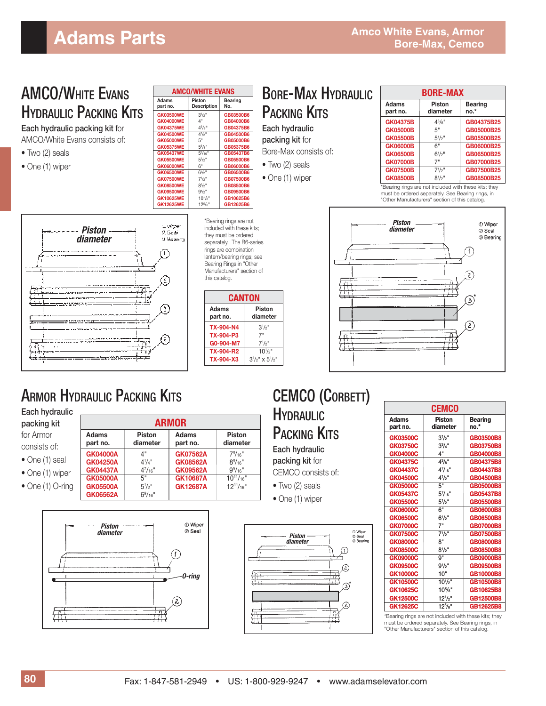#### AMCO/WHITE EVANS **HYDRAULIC PACKING KITS**

**Each hydraulic packing kit** for AMCO/White Evans consists of:

- Two (2) seals
- One (1) wiper

|                          | <b>AMCO/WHITE EVANS</b> |                |  |  |  |
|--------------------------|-------------------------|----------------|--|--|--|
| <b>Adams</b><br>part no. | Piston<br>Description   | Bearing<br>No. |  |  |  |
| <b>GK03500WE</b>         | $3^{1/2}$               | GB03500B6      |  |  |  |
| <b>GK04000WE</b>         | 4"                      | GB04000B6      |  |  |  |
| <b>GK04375WE</b>         | $4^{3}/8$ <sup>11</sup> | GB04375B6      |  |  |  |
| <b>GK04500WE</b>         | $4\frac{1}{2}$          | GB04500B6      |  |  |  |
| <b>GK05000WE</b>         | 5"                      | GB05000B6      |  |  |  |
| <b>GK05375WE</b>         | $5^{3}/8"$              | GB05375B6      |  |  |  |
| <b>GK05437WE</b>         | $5^{7}/16"$             | GB05437B6      |  |  |  |
| <b>GK05500WE</b>         | $5\frac{1}{2}$          | GB05500B6      |  |  |  |
| <b>GK06000WE</b>         | 6"                      | GB06000B6      |  |  |  |
| <b>GK06500WE</b>         | $6\frac{1}{2}$          | GB06500B6      |  |  |  |
| <b>GK07500WE</b>         | $7^{1/2}$               | GB07500B6      |  |  |  |
| <b>GK08500WE</b>         | $8^{1/2}$               | GB08500B6      |  |  |  |
| <b>GK09500WE</b>         | $9^{1/2}$               | GB09500B6      |  |  |  |
| <b>GK10625WE</b>         | $10^{5}/s$ "            | GB10625B6      |  |  |  |
| <b>GK12625WE</b>         | $12^{5}/8"$             | GB12625B6      |  |  |  |

d wiper *Piston*   $Q$ , Social *diameter* **3 Bennet** ⊕ Œ, serence ........ alanyan terli ത an manang meng Ω,

\*Bearing rings are not included with these kits; they must be ordered separately. The B6-series rings are combination lantern/bearing rings; see Bearing Rings in "Other Manufacturers" section of this catalog.

| <b>CANTON</b>     |                           |  |  |  |  |
|-------------------|---------------------------|--|--|--|--|
| Adams<br>part no. | Piston<br>diameter        |  |  |  |  |
| TX-904-N4         | $3\frac{1}{2}$            |  |  |  |  |
| TX-904-P3         | 7"                        |  |  |  |  |
| G0-904-M7         | $7^{1/2}$ "               |  |  |  |  |
| TX-904-R2         | $10^{1/2}$                |  |  |  |  |
| <b>TX-904-X3</b>  | $3^{1/2}$ " x $5^{1/2}$ " |  |  |  |  |
|                   |                           |  |  |  |  |

 $79/16"$ 

 $8\%$ 16"

 $9^9/16"$ 

 $GK08562A$ 

GK12687A

**GK09562A** 9<sup>9</sup>/16"<br>**GK10687A** 10<sup>11</sup>/16"

#### BORE-MAX HYDRAULIC PACKING KITS

**Each hydraulic packing kit** for Bore-Max consists of:

• Two (2) seals

• One (1) wiper

| <b>BORE-MAX</b>   |                           |                        |  |
|-------------------|---------------------------|------------------------|--|
| Adams<br>part no. | <b>Piston</b><br>diameter | <b>Bearing</b><br>no.* |  |
| <b>GK04375B</b>   | $4^{3}/8"$                | GB04375B25             |  |
| <b>GK05000B</b>   | 5"                        | GB05000B25             |  |
| <b>GK05500B</b>   | $5^{1}/2$ "               | GB05500B25             |  |
| <b>GK06000B</b>   | հ"                        | GB06000B25             |  |
| <b>GK06500B</b>   | $6^{1/2}$                 | GB06500B25             |  |
| <b>GK07000B</b>   | 7"                        | GB07000B25             |  |
| <b>GK07500B</b>   | $7^{1/2}$ "               | GB07500B25             |  |
| <b>GK08500B</b>   | $8^{1}/2$ "               | GB08500B25             |  |

\*Bearing rings are not included with these kits; they must be ordered separately. See Bearing rings, in "Other Manufacturers" section of this catalog.



## **ARMOR HYDRAULIC PACKING KITS**

**Each hydraulic packing kit**

for Armor consists of: • One (1) seal • One (1) wiper **ARMOR Adams** Piston Adams Piston **Piston**<br>
part no. diameter part no. diameter **part no. diameter part no. diameter GK04000A** 4" **GK07562A**<br>**GK04250A** 41/4" **GK08562A GK04250A** 4<sup>1</sup>/<sub>4</sub>"<br>**GK04437A** 4<sup>7</sup>/<sub>16</sub>" **GK04437A** 4<sup>7</sup><br>**GK05000A** 5" **GK05000A** 5" **GK10687A** 10<sup>11</sup>/16"<br>**GK05500A** 5<sup>1</sup>/<sub>2</sub>" **GK12687A** 12<sup>11</sup>/16"

 $GK05500A$ 

 $GK06562A$ 

- 
- One (1) O-ring



 $6\frac{9}{16}$ "



|                          | <b>CEMCO</b>              |                        |
|--------------------------|---------------------------|------------------------|
| <b>Adams</b><br>part no. | <b>Piston</b><br>diameter | <b>Bearing</b><br>no.* |
| <b>GK03500C</b>          | $3^{1/2}$                 | GB03500B8              |
| <b>GK03750C</b>          | $3^{3}/4"$                | GB03750B8              |
| <b>GK04000C</b>          | 4"                        | GB04000B8              |
| <b>GK04375C</b>          | $4^{3}/8"$                | GB04375B8              |
| <b>GK04437C</b>          | $4^{7}/_{16}$ "           | <b>GB04437B8</b>       |
| <b>GK04500C</b>          | $4^{1}/2$ "               | GB04500B8              |
| <b>GK05000C</b>          | 5"                        | GB05000B8              |
| <b>GK05437C</b>          | $5^{7}/_{16}$ "           | GB05437B8              |
| <b>GK05500C</b>          | $5^{1}/2"$                | GB05500B8              |
| <b>GK06000C</b>          | 6"                        | GB06000B8              |
| GK06500C                 | $6^{1/2}$ "               | GB06500B8              |
| <b>GK07000C</b>          | 7"                        | <b>GB07000B8</b>       |
| <b>GK07500C</b>          | $7^{1}/2"$                | <b>GB07500B8</b>       |
| <b>GK08000C</b>          | 8"                        | GB08000B8              |
| <b>GK08500C</b>          | $8^{1/2}$ "               | <b>GB08500B8</b>       |
| <b>GK09000C</b>          | <b>g</b> "                | GB09000B8              |
| <b>GK09500C</b>          | $9^{1/2}$ "               | GB09500B8              |
| GK10000C                 | 10"                       | GB10000B8              |
| <b>GK10500C</b>          | $10^{1}/2"$               | GB10500B8              |
| GK10625C                 | $10^{5}/\mathrm{s}$ "     | GB10625B8              |
| <b>GK12500C</b>          | $12^{1/5}$                | GB12500B8              |
| GK12625C                 | $12^{5}/s$ "              | GB12625B8              |

\*Bearing rings are not included with these kits; they must be ordered separately. See Bearing rings, in "Other Manufacturers" section of this catalog.

CEMCO (CORBETT)

## **HYDRAULIC** PACKING **KITS**

**Each hydraulic packing kit** for

- CEMCO consists of:
- Two (2) seals
- One (1) wiper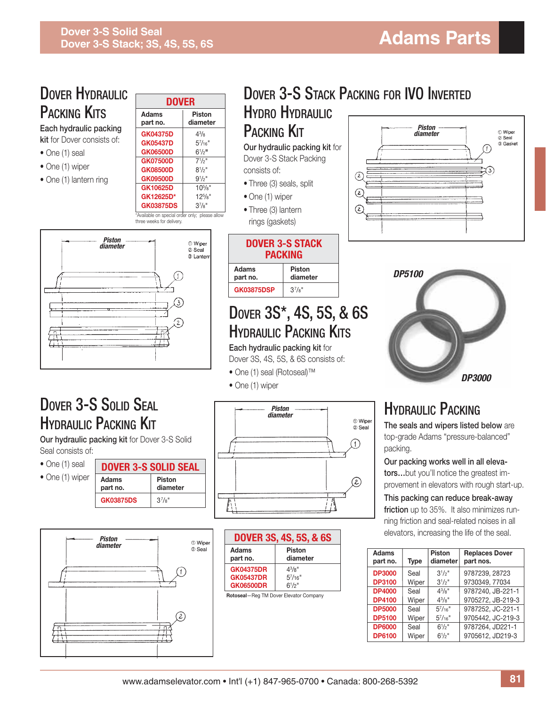| <b>DOVER HYDRAULIC</b>                                                                                              |                          |                                                                                                                                                                                                                                            |                                                                                                                                                       |                                                                                                 | <b>DOVER 3-S STACK PACKING FOR IVO INVERTED</b>                                                        |                                          |                           |                    |                          |                                                                                       |
|---------------------------------------------------------------------------------------------------------------------|--------------------------|--------------------------------------------------------------------------------------------------------------------------------------------------------------------------------------------------------------------------------------------|-------------------------------------------------------------------------------------------------------------------------------------------------------|-------------------------------------------------------------------------------------------------|--------------------------------------------------------------------------------------------------------|------------------------------------------|---------------------------|--------------------|--------------------------|---------------------------------------------------------------------------------------|
|                                                                                                                     |                          | <b>DOVER</b>                                                                                                                                                                                                                               |                                                                                                                                                       |                                                                                                 |                                                                                                        |                                          |                           |                    |                          |                                                                                       |
| <b>PACKING KITS</b>                                                                                                 |                          | <b>Adams</b><br>part no.                                                                                                                                                                                                                   | <b>Piston</b><br>diameter                                                                                                                             |                                                                                                 | <b>HYDRO HYDRAULIC</b>                                                                                 |                                          |                           |                    |                          |                                                                                       |
| Each hydraulic packing<br>kit for Dover consists of:<br>• One (1) seal<br>• One (1) wiper<br>• One (1) lantern ring |                          | <b>GK04375D</b><br><b>GK05437D</b><br><b>GK06500D</b><br><b>GK07500D</b><br><b>GK08500D</b><br><b>GK09500D</b><br>GK10625D<br>GK12625D*<br><b>GK03875DS</b><br>*Available on special order only; please allow<br>three weeks for delivery. | $4^{3}/_{8}$<br>$5^{7}/_{16}$ "<br>$6^{1}/2$ <sup>11</sup><br>$7^{1}/2$ "<br>$8^{1}/2$ "<br>$9^{1/2}$ "<br>$10^{5}/s$ "<br>$12^{5}/s$ "<br>$3^{7}/8"$ | <b>PACKING KIT</b><br>consists of:<br>• One (1) wiper<br>• Three (3) lantern<br>rings (gaskets) | Our hydraulic packing kit for<br>Dover 3-S Stack Packing<br>• Three (3) seals, split                   | $\left( \mathsf{2}\right)$<br>(z)<br>(z) |                           | Piston<br>diameter |                          | <b>1</b> Wiper<br>2 Seal<br>3 Gasket                                                  |
|                                                                                                                     | Piston<br>diameter       |                                                                                                                                                                                                                                            | <b>1</b> Wiper<br>© Seal<br>3 Lanterr                                                                                                                 |                                                                                                 | <b>DOVER 3-S STACK</b><br><b>PACKING</b>                                                               |                                          |                           |                    |                          |                                                                                       |
|                                                                                                                     |                          |                                                                                                                                                                                                                                            |                                                                                                                                                       | <b>Adams</b>                                                                                    | <b>Piston</b>                                                                                          |                                          |                           | <b>DP5100</b>      |                          |                                                                                       |
|                                                                                                                     |                          |                                                                                                                                                                                                                                            |                                                                                                                                                       | part no.<br><b>GK03875DSP</b>                                                                   | diameter<br>$3^{7}/8"$                                                                                 |                                          |                           |                    |                          |                                                                                       |
| T<br>ĠΥ                                                                                                             |                          |                                                                                                                                                                                                                                            |                                                                                                                                                       | ● One (1) seal (Rotoseal) <sup>™</sup><br>• One (1) wiper                                       | <b>HYDRAULIC PACKING KITS</b><br>Each hydraulic packing kit for<br>Dover 3S, 4S, 5S, & 6S consists of: |                                          |                           |                    |                          | <b>DP3000</b>                                                                         |
| <b>DOVER 3-S SOLID SEAL</b>                                                                                         |                          |                                                                                                                                                                                                                                            |                                                                                                                                                       |                                                                                                 | Piston<br>diameter                                                                                     |                                          |                           |                    | <b>HYDRAULIC PACKING</b> |                                                                                       |
| <b>HYDRAULIC PACKING KIT</b>                                                                                        |                          |                                                                                                                                                                                                                                            |                                                                                                                                                       |                                                                                                 |                                                                                                        | <b>1</b> Wiper<br>2 Seal                 |                           |                    |                          | The seals and wipers listed below are                                                 |
| Our hydraulic packing kit for Dover 3-S Solid<br>Seal consists of:                                                  |                          |                                                                                                                                                                                                                                            |                                                                                                                                                       |                                                                                                 |                                                                                                        |                                          | packing.                  |                    |                          | top-grade Adams "pressure-balanced"                                                   |
| • One (1) seal                                                                                                      |                          | <b>DOVER 3-S SOLID SEAL</b>                                                                                                                                                                                                                |                                                                                                                                                       |                                                                                                 |                                                                                                        |                                          |                           |                    |                          | Our packing works well in all eleva-                                                  |
| • One (1) wiper                                                                                                     | <b>Adams</b><br>part no. | Piston<br>diameter                                                                                                                                                                                                                         |                                                                                                                                                       |                                                                                                 |                                                                                                        | Q)                                       |                           |                    |                          | torsbut you'll notice the greatest im-<br>provement in elevators with rough start-up. |
|                                                                                                                     | <b>GK03875DS</b>         | $3^{7}/8"$                                                                                                                                                                                                                                 |                                                                                                                                                       |                                                                                                 |                                                                                                        |                                          |                           |                    |                          | This packing can reduce break-away<br>friction up to 35%. It also minimizes run-      |
|                                                                                                                     |                          |                                                                                                                                                                                                                                            |                                                                                                                                                       |                                                                                                 |                                                                                                        |                                          |                           |                    |                          | ning friction and seal-related noises in all                                          |
|                                                                                                                     | Piston                   |                                                                                                                                                                                                                                            |                                                                                                                                                       |                                                                                                 | DOVER 3S, 4S, 5S, & 6S                                                                                 |                                          |                           |                    |                          | elevators, increasing the life of the seal.                                           |
|                                                                                                                     | diameter                 |                                                                                                                                                                                                                                            | <b>1</b> Wiper<br>2 Seal                                                                                                                              | Adams<br>part no.                                                                               | <b>Piston</b><br>diameter                                                                              |                                          | Adams                     |                    | Piston                   | <b>Replaces Dover</b>                                                                 |
|                                                                                                                     |                          |                                                                                                                                                                                                                                            |                                                                                                                                                       | <b>GK04375DR</b>                                                                                | $4^{3}/8"$                                                                                             |                                          | part no.<br><b>DP3000</b> | Type<br>Seal       | diameter<br>$3^{1}/2$ "  | part nos.<br>9787239, 28723                                                           |
|                                                                                                                     |                          |                                                                                                                                                                                                                                            |                                                                                                                                                       | <b>GK05437DR</b><br><b>GK06500DR</b>                                                            | $5^{7}/16"$<br>$6^{1}/2$ "                                                                             |                                          | <b>DP3100</b>             | Wiper              | $3^{1}/2$ "              | 9730349, 77034                                                                        |
|                                                                                                                     |                          |                                                                                                                                                                                                                                            |                                                                                                                                                       | Rotoseal-Reg TM Dover Elevator Company                                                          |                                                                                                        |                                          | <b>DP4000</b>             | Seal               | $4^{3}/8"$               | 9787240, JB-221-1                                                                     |

**DP4000** | Seal | 4<sup>3</sup> /8" 9787240, JB-221-1 **DP4100** Wiper  $4^{3}/8"$ /8" 9705272, JB-219-3 **DP5000** Seal  $5^{7}/16^{10}$ <br>**DP5100** Wiper  $5^{7}/16^{10}$ 9787252, JC-221-1 **DP5100** Wiper 5<sup>7</sup>/16"<br> **DP6000** Seal 6<sup>1</sup>/2" 9705442, JC-219-3 **DP6000** 9787264, JD221-1 **DP6100** Wiper  $6^{1}/2$ " 9705612, JD219-3

 $\circledR$ 

 $\overline{\mathbb{R}}$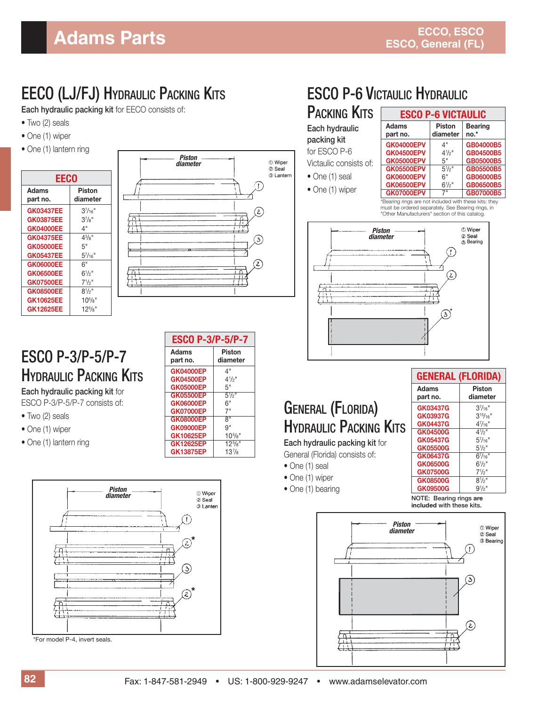### EECO (LJ/FJ) HYDRAULIC PACKING KITS

**Each hydraulic packing kit** for EECO consists of:

- Two (2) seals
- One (1) wiper
- One (1) lantern ring

| EECO             |                 |
|------------------|-----------------|
| Adams            | Piston          |
| part no.         | diameter        |
| <b>GK03437EE</b> | $3^{7}/_{16}$ " |
| GK03875EE        | $3^{7}/8$ "     |
| <b>GK04000EE</b> | 4"              |
| <b>GK04375EE</b> | $4^{3}/8$ "     |
| <b>GK05000EE</b> | 5"              |
| <b>GK05437EE</b> | $5^{7}/_{16}$ " |
| <b>GK06000EE</b> | 6"              |
| <b>GK06500EE</b> | $6^{1/2}$       |
| <b>GK07500EE</b> | $7^{1/2}$ "     |
| <b>GK08500EE</b> | $8^{1/2}$ "     |
| <b>GK10625EE</b> | $10^{5}/s$ "    |
| <b>GK12625EE</b> | $12^{5}/s$ "    |



#### ESCO P-3/P-5/P-7 HYDRAULIC PACKING KITS

**Each hydraulic packing kit** for ESCO P-3/P-5/P-7 consists of:

- Two (2) seals
- One (1) wiper
- One (1) lantern ring

| <b>ESCO P-3/P-5/P-7</b> |                       |
|-------------------------|-----------------------|
| Adams                   | Piston                |
| part no.                | diameter              |
| <b>GK04000EP</b>        | 4"                    |
| GK04500EP               | $4\frac{1}{2}$ "      |
| <b>GK05000EP</b>        | 5"                    |
| <b>GK05500EP</b>        | $5\frac{1}{2}$ "      |
| GK06000EP               | 6"                    |
| <b>GK07000EP</b>        | 7"                    |
| GK08000EP               | я"                    |
| <b>GK09000EP</b>        | 9"                    |
| <b>GK10625EP</b>        | $10^{5}/\mathrm{s}$ " |
| GK12625EP               | $12^{5}/8"$           |
| <b>GK13875EP</b>        | $13^{7}/8$            |



\*For model P-4, invert seals.

## ESCO P-6 VICTAULIC HYDRAULIC

PACKING KITS **Each hydraulic packing kit**  for ESCO P-6

- Victaulic consists of:
- One (1) seal
- One (1) wiper

| <b>ESCO P-6 VICTAULIC</b> |                           |                          |  |
|---------------------------|---------------------------|--------------------------|--|
| Adams<br>part no.         | <b>Piston</b><br>diameter | <b>Bearing</b><br>$no.*$ |  |
| <b>GK04000EPV</b>         | 4"                        | GB04000B5                |  |
| <b>GK04500EPV</b>         | $4^{1/2}$                 | GB04500B5                |  |
| <b>GK05000EPV</b>         | 5"                        | <b>GB05000B5</b>         |  |
| <b>GK05500EPV</b>         | $5\frac{1}{2}$            | GB05500B5                |  |
| <b>GK06000EPV</b>         | 6"                        | GB06000B5                |  |
| <b>GK06500EPV</b>         | $6\frac{1}{2}$ "          | GB06500B5                |  |
| <b>GK07000EPV</b>         | 7"                        | <b>GB07000B5</b>         |  |

\*Bearing rings are not included with these kits; they must be ordered separately. See Bearing rings, in "Other Manufacturers" section of this catalog.



### GENERAL (FLORIDA) HYDRAULIC PACKING KITS

**Each hydraulic packing kit** for

- General (Florida) consists of: • One (1) seal
- One (1) wiper
- One (1) bearing

**NOTE: Bearing rings are included with these kits.**

**GENERAL (FLORIDA)** Adams | Piston **part no. diameter GK03437G** 3<sup>7</sup>/16"<br>**GK03937G** 3<sup>15/</sup>16"

GK03937G  $GK04437G$ 

**GK04500G** 

 $GK05437G$ 

 $GK05500G$ 

**GK06437G** 67

**GK06500G** 61

**GK07500G** 

**GK08500G** 81

**GK09500G** 91

 $3^{7}/16$ "

 $4^{7}/16$ "

 $4^{1/2}$ 

 $5\frac{1}{2}$ 

 $6^{7}/_{16}$ 

 $6^{1/2}$ "

 $7\frac{1}{2}$ "

 $8^{1/2}$ 

 $9^{1/2}$ "

 $5\frac{7}{16}$ "

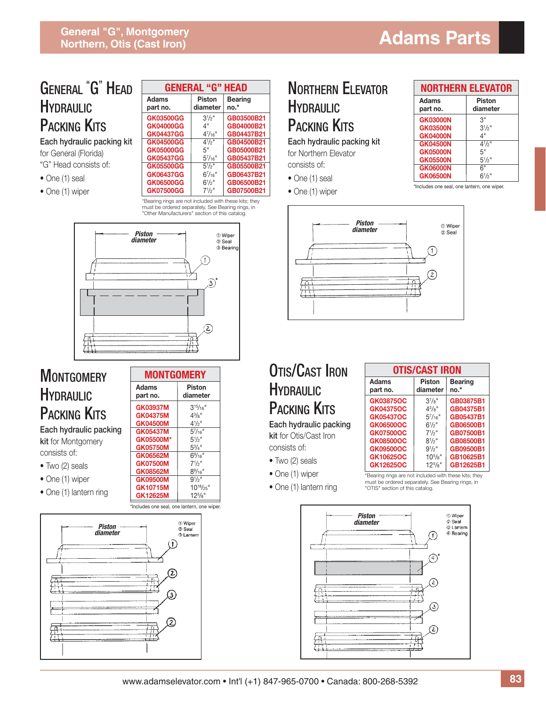#### GENERAL " G" HEAD **HYDRAULIC** PACKING **KITS**

**Each hydraulic packing kit** for General (Florida) "G" Head consists of:

- One (1) seal
- One (1) wiper

|                  | GENERAL "G" HEAD |                |  |  |  |
|------------------|------------------|----------------|--|--|--|
| Adams            | <b>Piston</b>    | <b>Bearing</b> |  |  |  |
| part no.         | diameter         | $no.*$         |  |  |  |
| GK03500GG        | $3^{1/2}$ "      | GB03500B21     |  |  |  |
| <b>GK04000GG</b> | 4"               | GB04000B21     |  |  |  |
| GK04437GG        | $4^{7}/_{16}$ "  | GB04437B21     |  |  |  |
| GK04500GG        | $4^{1/2}$        | GB04500B21     |  |  |  |
| <b>GK05000GG</b> | 5"               | GB05000B21     |  |  |  |
| <b>GK05437GG</b> | $5^{7}/_{16}$ "  | GB05437B21     |  |  |  |
| <b>GK05500GG</b> | $5\frac{1}{2}$   | GB05500B21     |  |  |  |
| GK06437GG        | $6^{7}/_{16}$ "  | GB06437B21     |  |  |  |
| GK06500GG        | $6^{1/2}$        | GB06500B21     |  |  |  |
| <b>GK07500GG</b> | $7^{1/2}$        | GB07500B21     |  |  |  |

\*Bearing rings are not included with these kits; they must be ordered separately. See Bearing rings, in "Other Manufacturers" section of this catalog.



#### **MONTGOMERY HYDRAULIC** PACKING KITS

**Each hydraulic packing kit** for Montgomery consists of:

- Two (2) seals
- One (1) wiper
- One (1) lantern ring





### NORTHERN ELEVATOR **HYDRAULIC** PACKING **KITS**

**Each hydraulic packing kit** for Northern Elevator consists of:

- One (1) seal
- One (1) wiper

|                 | <b>NORTHERN ELEVATOR</b> |
|-----------------|--------------------------|
| Adams           | <b>Piston</b>            |
| part no.        | diameter                 |
| <b>GK03000N</b> | 3"                       |
| GK03500N        | $3^{1/2}$                |
| <b>GK04000N</b> | 4"                       |
| <b>GK04500N</b> | $4^{1/2}$                |
| GK05000N        | 5"                       |
| <b>GK05500N</b> | $5^{1}/2$ "              |
| <b>GK06000N</b> | 6"                       |
| <b>GK06500N</b> | $6^{1/2}$ "              |

\*Includes one seal, one lantern, one wiper.



#### OTIS/CAST IRON **HYDRAULIC** PACKING **KITS**

**Each hydraulic packing kit** for Otis/Cast Iron consists of:

- Two (2) seals
- One (1) wiper
- One (1) lantern ring

| OTIS/CAST IRON    |                           |                          |  |  |  |
|-------------------|---------------------------|--------------------------|--|--|--|
| Adams<br>part no. | <b>Piston</b><br>diameter | <b>Bearing</b><br>$no.*$ |  |  |  |
| GK03875OC         | $3^{7}/8"$                | GB03875B1                |  |  |  |
| GK04375OC         | $4^{3}/8$ "               | GB04375B1                |  |  |  |
| GK05437OC         | $5^{7}/_{16}$ "           | GB05437B1                |  |  |  |
| GK06500OC         | $6^{1/2}$ "               | GB06500B1                |  |  |  |
| <b>GK07500OC</b>  | $7^{1/2}$ "               | GB07500B1                |  |  |  |
| GK08500OC         | $8^{1/2}$ "               | GB08500B1                |  |  |  |
| GK09500OC         | $9^{1/2}$ "               | GB09500B1                |  |  |  |
| GK10625OC         | $10^{5}/s$ "              | GB10625B1                |  |  |  |
| GK12625OC         | $12^{5}/8"$               | GB12625B1                |  |  |  |

\*Bearing rings are not included with these kits; they must be ordered separately. See Bearing rings, in "OTIS" section of this catalog.

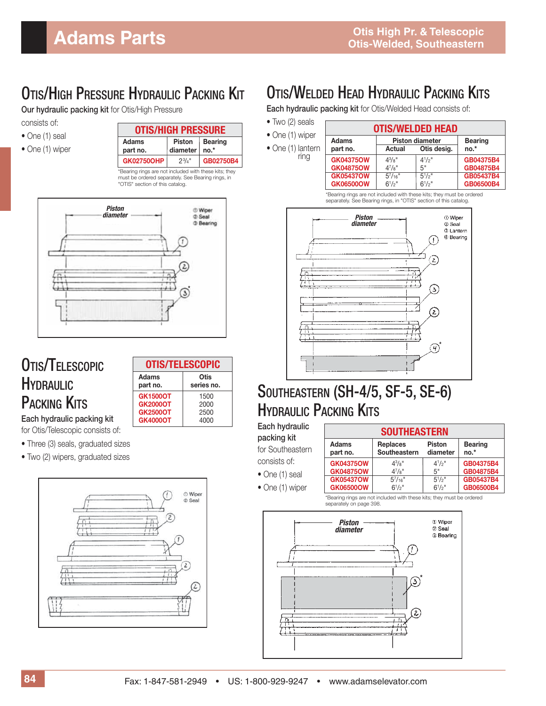### OTIS/HIGH PRESSURE HYDRAULIC PACKING KIT

**Our hydraulic packing kit** for Otis/High Pressure

- consists of:
- One (1) seal
- One (1) wiper

| <b>OTIS/HIGH PRESSURE</b> |                           |                          |
|---------------------------|---------------------------|--------------------------|
| Adams<br>part no.         | <b>Piston</b><br>diameter | <b>Bearing</b><br>$no.*$ |
| <b>GK02750OHP</b>         | $2^{3}/_{4}$ "            | GB02750B4                |

\*Bearing rings are not included with these kits; they must be ordered separately. See Bearing rings, in "OTIS" section of this catalog.



#### OTIS/TELESCOPIC HYDRAULIC PACKING KITS

|                   | <b>OTIS/TELESCOPIC</b> |
|-------------------|------------------------|
| Adams<br>part no. | Otis<br>series no.     |
| <b>GK1500OT</b>   | 1500                   |
| <b>GK2000OT</b>   | 2000                   |
| <b>GK2500OT</b>   | 2500                   |
| <b>GK4000OT</b>   | 4000                   |

**Each hydraulic packing kit** for Otis/Telescopic consists of:

- Three (3) seals, graduated sizes
- Two (2) wipers, graduated sizes



#### OTIS/WELDED HEAD HYDRAULIC PACKING KITS

**Each hydraulic packing kit** for Otis/Welded Head consists of:

• Two (2) seals • One (1) wiper • One (1) lantern ring **OTIS/WELDED HEAD** Adams **Piston diameter** Bearing<br>part no. Actual Otis desig. no.\* **Actual Otis desig. GK04375OW** 4<sup>3</sup>/<sub>8</sub>"<br>**GK04875OW** 4<sup>7</sup>/<sub>8</sub>"  $4^{1}/2$ <sup>"</sup><br>5" /2" **GB04375B4 GK04875OW** 47/8"<br>**GK05437OW** 5<sup>7</sup>/16 /8" 5" **GB04875B4 GK05437OW** 57/16<br>**GK06500OW** 6<sup>1</sup>/2"  $5^{1}/2$ /2" **GB05437B4 GK06500OW**  $6^{1}/2$ " /2" **GB06500B4**

\*Bearing rings are not included with these kits; they must be ordered separately. See Bearing rings, in "OTIS" section of this catalog.



### SOUTHEASTERN (SH-4/5, SF-5, SE-6) HYDRAULIC PACKING KITS

| Each hydraulic   |
|------------------|
| packing kit      |
| for Southeastern |
| consists of:     |

• One (1) seal • One (1) wiper

| <u>ooo i i ilaao i liit</u> |                                                              |             |                          |  |  |  |
|-----------------------------|--------------------------------------------------------------|-------------|--------------------------|--|--|--|
| <b>Adams</b><br>part no.    | <b>Replaces</b><br><b>Piston</b><br>Southeastern<br>diameter |             | <b>Bearing</b><br>$no.*$ |  |  |  |
| <b>GK04375OW</b>            | $4^{3}/8$ "                                                  | $4^{1}/2$ " | GB04375B4                |  |  |  |
| <b>GK04875OW</b>            | $4^{7}/8"$                                                   | 5"          | GB04875B4                |  |  |  |
| <b>GK05437OW</b>            | $5^{7}/_{16}$ "                                              | $5^{1}/2$ " | GB05437B4                |  |  |  |
| GK06500OW                   | $6^{1}/2$ "                                                  | $6^{1}/2$ " | GB06500B4                |  |  |  |

**SOUTHEASTERN**

\*Bearing rings are not included with these kits; they must be ordered separately on page 398.

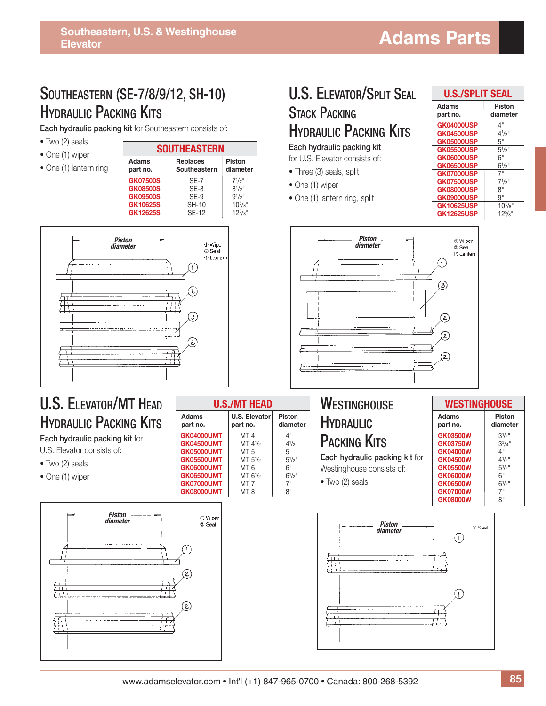#### SOUTHEASTERN (SE-7/8/9/12, SH-10) **HYDRAULIC PACKING KITS**

**Each hydraulic packing kit** for Southeastern consists of:

- Two (2) seals
- One (1) wiper

|  |  |  | • One (1) lantern ring |  |
|--|--|--|------------------------|--|
|--|--|--|------------------------|--|

| <b>SOUTHEASTERN</b> |                                 |                           |  |  |  |
|---------------------|---------------------------------|---------------------------|--|--|--|
| Adams<br>part no.   | <b>Replaces</b><br>Southeastern | <b>Piston</b><br>diameter |  |  |  |
| <b>GK07500S</b>     | $SF-7$                          | $7^{1/2}$ "               |  |  |  |
| <b>GK08500S</b>     | $SF-8$                          | $8^{1/2}$                 |  |  |  |
| <b>GK09500S</b>     | $SF-9$                          | $9^{1/2}$ "               |  |  |  |
| GK10625S            | <b>SH-10</b>                    | $10^{5}/s$ "              |  |  |  |
| GK12625S            | <b>SE-12</b>                    | $12^{5}/s$ "              |  |  |  |



#### U.S. ELEVATOR/MT HEAD **HYDRAULIC PACKING KITS**

**Each hydraulic packing kit** for U.S. Elevator consists of:

- Two (2) seals
- One (1) wiper



| <b>U.S./MT HEAD</b> |                           |                           |  |  |  |  |
|---------------------|---------------------------|---------------------------|--|--|--|--|
| Adams<br>part no.   | U.S. Elevator<br>part no. | <b>Piston</b><br>diameter |  |  |  |  |
| <b>GK04000UMT</b>   | MT <sub>4</sub>           | 4"                        |  |  |  |  |
| <b>GK04500UMT</b>   | MT $4\frac{1}{2}$         | $4^{1/2}$                 |  |  |  |  |
| <b>GK05000UMT</b>   | MT <sub>5</sub>           | 5                         |  |  |  |  |
| <b>GK05500UMT</b>   | MT $5\frac{1}{2}$         | $5^{1/2}$ "               |  |  |  |  |
| <b>GK06000UMT</b>   | MT <sub>6</sub>           | 6"                        |  |  |  |  |
| <b>GK06500UMT</b>   | MT 6 <sup>1</sup> /2      | $6^{1}/2$ "               |  |  |  |  |
| <b>GK07000UMT</b>   | MT 7                      | 7"                        |  |  |  |  |
| <b>GK08000UMT</b>   | MT 8                      | я"                        |  |  |  |  |

#### U.S. ELEVATOR/SPLIT SEAL **STACK PACKING HYDRAULIC PACKING KITS Each hydraulic packing kit**

for U.S. Elevator consists of:

- Three (3) seals, split
- One (1) wiper
- One (1) lantern ring, split

| U.S./SPLIT SEAL   |              |  |  |  |
|-------------------|--------------|--|--|--|
| Adams             | Piston       |  |  |  |
| part no.          | diameter     |  |  |  |
| <b>GK04000USP</b> | 4"           |  |  |  |
| <b>GK04500USP</b> | $4^{1/2}$    |  |  |  |
| <b>GK05000USP</b> | 5"           |  |  |  |
| <b>GK05500USP</b> | $5^{1/2}$    |  |  |  |
| GK06000USP        | 6"           |  |  |  |
| <b>GK06500USP</b> | $6^{1/2}$ "  |  |  |  |
| <b>GK07000USP</b> | 7"           |  |  |  |
| <b>GK07500USP</b> | $7^{1/2}$ "  |  |  |  |
| <b>GK08000USP</b> | 8"           |  |  |  |
| <b>GK09000USP</b> | 9"           |  |  |  |
| <b>GK10625USP</b> | $10^{5}/s$ " |  |  |  |
| <b>GK12625USP</b> | $12^{5}/s$ " |  |  |  |



#### **WESTINGHOUSE HYDRAULIC** PACKING KITS

**Each hydraulic packing kit** for Westinghouse consists of:

• Two (2) seals

#### **WESTINGHOUSE** Adams Piston<br>part no. diamete diameter **GK03500W**  $3\frac{1}{2}$ " **GK03750W** 3<sup>3</sup>/<br>**GK04000W** 4"  $3^{3}/4"$ **GK04000W GK04500W**  $4^{1/2}$ **GK05500W** 5<sup>1</sup>/<br>**GK06000W** 6"  $5\frac{1}{2}$ " **GK06000W GK06500W** 6<sup>1</sup>/<br>**GK07000W** 7"  $6^{1/2}$ " **GK07000W** 7"<br>**GK08000W** 8" **GK08000W**

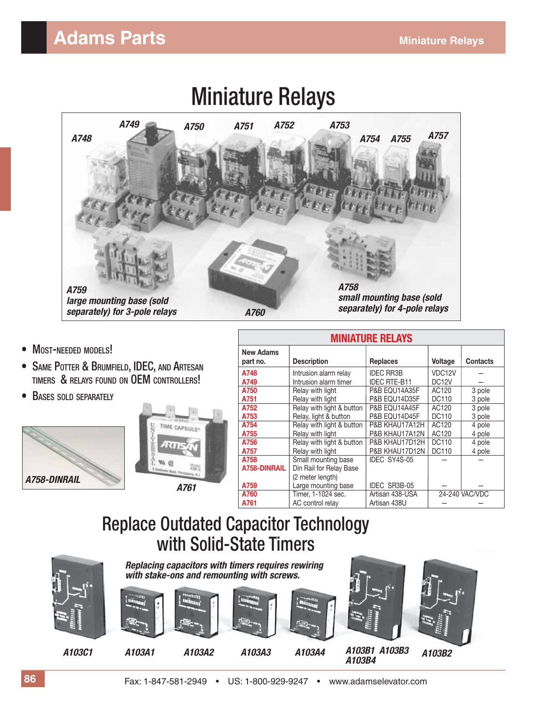### **Adams Parts Miniature Relays**



- MOST-NEEDED MODELS!
- SAME POTTER & BRUMFIELD, IDEC, AND ARTESAN TIMERS & RELAYS FOUND ON OEM CONTROLLERS!
- BASES SOLD SEPARATELY





| <b>MINIATURE RELAYS</b>      |                           |                     |                    |                 |  |  |
|------------------------------|---------------------------|---------------------|--------------------|-----------------|--|--|
| <b>New Adams</b><br>part no. | <b>Description</b>        | <b>Replaces</b>     | <b>Voltage</b>     | <b>Contacts</b> |  |  |
| A748                         | Intrusion alarm relay     | <b>IDEC RR3B</b>    | VDC12V             |                 |  |  |
| A749                         | Intrusion alarm timer     | <b>IDEC RTE-B11</b> | DC <sub>12</sub> V |                 |  |  |
| A750                         | Relay with light          | P&B EQU14A35F       | AC120              | 3 pole          |  |  |
| A751                         | Relay with light          | P&B EQU14D35F       | DC110              | 3 pole          |  |  |
| A752                         | Relay with light & button | P&B EQU14A45F       | AC120              | 3 pole          |  |  |
| A753                         | Relay, light & button     | P&B EQU14D45F       | DC110              | 3 pole          |  |  |
| A754                         | Relay with light & button | P&B KHAU17A12H      | AC120              | 4 pole          |  |  |
| A755                         | Relay with light          | P&B KHAU17A12N      | AC120              | 4 pole          |  |  |
| A756                         | Relay with light & button | P&B KHAU17D12H      | DC110              | 4 pole          |  |  |
| A757                         | Relay with light          | P&B KHAU17D12N      | DC110              | 4 pole          |  |  |
| A758                         | Small mounting base       | IDEC SY4S-05        |                    |                 |  |  |
| A758-DINRAIL                 | Din Rail for Relay Base   |                     |                    |                 |  |  |
|                              | (2 meter length)          |                     |                    |                 |  |  |
| A759                         | Large mounting base       | IDEC SR3B-05        |                    |                 |  |  |
| A760                         | Timer. 1-1024 sec.        | Artisan 438-USA     |                    | 24-240 VAC/VDC  |  |  |
| A761                         | AC control relay          | Artisan 438U        |                    |                 |  |  |

### Replace Outdated Capacitor Technology with Solid-State Timers

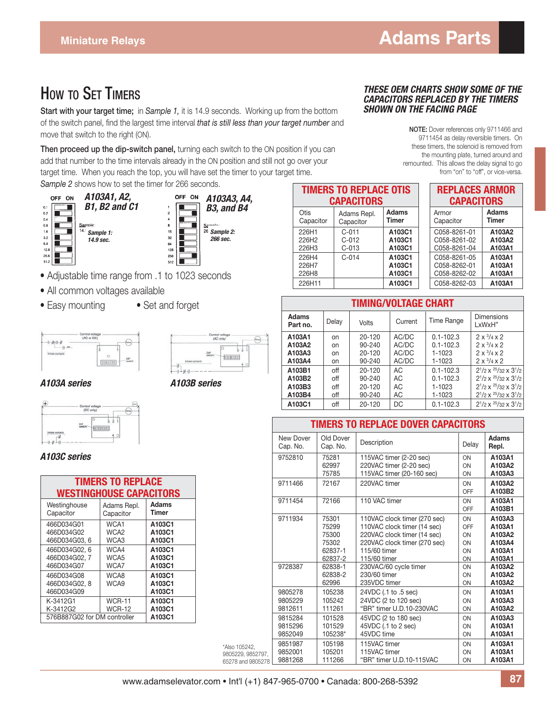#### HOW TO SFT TIMERS

**Start with your target time;** in *Sample 1,* it is 14.9 seconds. Working up from the bottom of the switch panel, find the largest time interval *that is still less than your target number* and move that switch to the right (ON).

**Then proceed up the dip-switch panel,** turning each switch to the ON position if you can add that number to the time intervals already in the ON position and still not go over your target time. When you reach the top, you will have set the timer to your target time. *Sample 2* shows how to set the timer for 266 seconds.



- Adjustable time range from .1 to 1023 seconds
- All common voltages available
- Easy mounting Set and forget





#### *A103A series A103B series*



#### *A103C series*

| <b>TIMERS TO REPLACE</b><br><b>WESTINGHOUSE CAPACITORS</b> |                  |                  |  |  |  |
|------------------------------------------------------------|------------------|------------------|--|--|--|
| Westinghouse                                               | Adams Repl.      | Adams            |  |  |  |
| Capacitor                                                  | Capacitor        | Timer            |  |  |  |
| 466D034G01                                                 | WCA1             | A103C1           |  |  |  |
| 466D034G02                                                 | WCA <sub>2</sub> | A103C1           |  |  |  |
| 466D034G03.6                                               | WCA3             | A103C1           |  |  |  |
| 466D034G02.6                                               | WCA4             | A103C1           |  |  |  |
| 466D034G02.7                                               | WCA5             | A103C1           |  |  |  |
| 466D034G07                                                 | WCA7             | A103C1           |  |  |  |
| 466D034G08                                                 | WCA8             | A103C1           |  |  |  |
| 466D034G02.8                                               | WCA9             | A103C1           |  |  |  |
| 466D034G09<br>K-3412G1                                     | <b>WCR-11</b>    | A103C1<br>A103C1 |  |  |  |
| K-3412G2<br>576B887G02 for DM controller                   | WCR-12           | A103C1<br>A103C1 |  |  |  |

*THESE OEM CHARTS SHOW SOME OF THE CAPACITORS REPLACED BY THE TIMERS SHOWN ON THE FACING PAGE*

> **NOTE:** Dover references only 9711466 and 9711454 as delay reversible timers. On these timers, the solenoid is removed from the mounting plate, turned around and remounted. This allows the delay signal to go from "on" to "off", or vice-versa.

| <b>TIMERS TO REPLACE OTIS</b><br><b>CAPACITORS</b> |                               |                            |  | <b>RFP</b>              |
|----------------------------------------------------|-------------------------------|----------------------------|--|-------------------------|
| Otis<br>Capacitor                                  | Adams Repl.<br>Capacitor      | <b>Adams</b><br>Timer      |  | Armor<br>Capac          |
| 226H1<br>226H2<br>226H3                            | $C-011$<br>$C-012$<br>$C-013$ | A103C1<br>A103C1<br>A103C1 |  | C058-<br>C058-<br>C058- |
| 226H4<br>226H7<br>226H8                            | $C - 014$                     | A103C1<br>A103C1<br>A103C1 |  | C058-<br>C058-<br>C058- |
| 226H11                                             |                               | A103C1                     |  | C058-                   |

| <b>REPLACES ARMOR</b><br><b>CAPACITORS</b>   |                            |  |  |  |
|----------------------------------------------|----------------------------|--|--|--|
| Armor<br>Capacitor                           | Adams<br>Timer             |  |  |  |
| C058-8261-01<br>C058-8261-02<br>C058-8261-04 | A103A2<br>A103A2<br>A103A1 |  |  |  |
| C058-8261-05<br>C058-8262-01<br>C058-8262-02 | A103A1<br>A103A1<br>A103A1 |  |  |  |
| C058-8262-03                                 | A103A1                     |  |  |  |

| <b>TIMING/VOLTAGE CHART</b> |       |            |         |               |                                    |  |
|-----------------------------|-------|------------|---------|---------------|------------------------------------|--|
| <b>Adams</b><br>Part no.    | Delay | Volts      | Current | Time Range    | <b>Dimensions</b><br>LxWxH"        |  |
| A103A1                      | on    | $20 - 120$ | AC/DC   | $0.1 - 102.3$ | $2 \times \frac{3}{4} \times 2$    |  |
| A103A2                      | on    | 90-240     | AC/DC   | $0.1 - 102.3$ | $2 \times \frac{3}{4} \times 2$    |  |
| A103A3                      | on    | 20-120     | AC/DC   | 1-1023        | $2 \times \frac{3}{4} \times 2$    |  |
| A103A4                      | on    | 90-240     | AC/DC   | 1-1023        | $2 \times \frac{3}{4} \times 2$    |  |
| A103B1                      | off   | $20 - 120$ | AC      | $0.1 - 102.3$ | $2^{1/2}$ x $^{25/32}$ x $3^{1/2}$ |  |
| A103B2                      | off   | $90 - 240$ | AC      | $0.1 - 102.3$ | $2^{1/2}$ x $2^{5/32}$ x $3^{1/2}$ |  |
| A103B3                      | off   | 20-120     | AC      | 1-1023        | $2^{1/2}$ x $2^{5/32}$ x $3^{1/2}$ |  |
| A103B4                      | off   | 90-240     | AC      | 1-1023        | $2^{1}/2$ x $2^{5}/32$ x $3^{1}/2$ |  |
| A103C1                      | off   | 20-120     | DC      | $0.1 - 102.3$ | $2^{1/2}$ x $^{25/32}$ x $3^{1/2}$ |  |

|                   | <b>TIMERS TO REPLACE DOVER CAPACITORS</b> |                       |                              |       |                       |
|-------------------|-------------------------------------------|-----------------------|------------------------------|-------|-----------------------|
|                   | New Dover<br>Cap. No.                     | Old Dover<br>Cap. No. | Description                  | Delay | <b>Adams</b><br>Repl. |
|                   | 9752810                                   | 75281                 | 115VAC timer (2-20 sec)      | ON    | A103A1                |
|                   |                                           | 62997                 | 220VAC timer (2-20 sec)      | ON    | A103A2                |
|                   |                                           | 75785                 | 115VAC timer (20-160 sec)    | ON    | A103A3                |
|                   | 9711466                                   | 72167                 | 220VAC timer                 | ON    | A103A2                |
|                   |                                           |                       |                              | OFF   | A103B2                |
|                   | 9711454                                   | 72166                 | 110 VAC timer                | ON    | A103A1                |
|                   |                                           |                       |                              | OFF   | A103B1                |
|                   | 9711934                                   | 75301                 | 110VAC clock timer (270 sec) | ON    | A103A3                |
|                   |                                           | 75299                 | 110VAC clock timer (14 sec)  | OFF   | A103A1                |
|                   |                                           | 75300                 | 220VAC clock timer (14 sec)  | ON    | A103A2                |
|                   |                                           | 75302                 | 220VAC clock timer (270 sec) | ON    | A103A4                |
|                   |                                           | 62837-1               | 115/60 timer                 | ON    | A103A1                |
|                   |                                           | 62837-2               | 115/60 timer                 | ON    | A103A1                |
|                   | 9728387                                   | 62838-1               | 230VAC/60 cycle timer        | ON    | A103A2                |
|                   |                                           | 62838-2               | 230/60 timer                 | ON    | A103A2                |
|                   |                                           | 62996                 | 235VDC timer                 | ON    | A103A2                |
|                   | 9805278                                   | 105238                | 24VDC (.1 to .5 sec)         | ON    | A103A1                |
|                   | 9805229                                   | 105242                | 24VDC (2 to 120 sec)         | ON    | A103A3                |
|                   | 9812611                                   | 111261                | "BR" timer U.D.10-230VAC     | ON    | A103A2                |
|                   | 9815284                                   | 101528                | 45VDC (2 to 180 sec)         | ON    | A103A3                |
|                   | 9815296                                   | 101529                | 45VDC (.1 to 2 sec)          | ON    | A103A1                |
|                   | 9852049                                   | 105238*               | 45VDC time                   | ON    | A103A1                |
| *Also 105242,     | 9851987                                   | 105198                | 115VAC timer                 | ON    | A103A1                |
| 9805229, 9852797. | 9852001                                   | 105201                | 115VAC timer                 | ON    | A103A1                |
| 65278 and 9805278 | 9881268                                   | 111266                | "BR" timer U.D.10-115VAC     | ON    | A103A1                |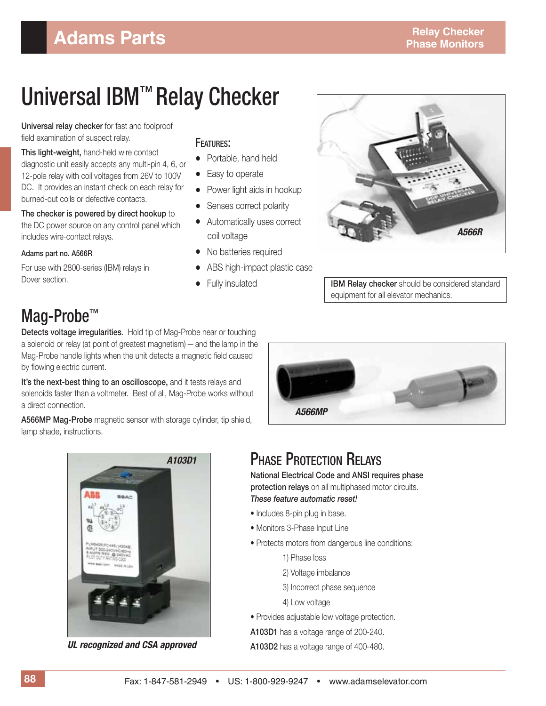# Universal IBM™ Relay Checker

**Universal relay checker** for fast and foolproof field examination of suspect relay.

**This light-weight,** hand-held wire contact diagnostic unit easily accepts any multi-pin 4, 6, or 12-pole relay with coil voltages from 26V to 100V DC. It provides an instant check on each relay for burned-out coils or defective contacts.

**The checker is powered by direct hookup** to the DC power source on any control panel which includes wire-contact relays.

**Adams part no. A566R**

For use with 2800-series (IBM) relays in Dover section.

#### FEATURES:

- Portable, hand held
- Easy to operate
- Power light aids in hookup
- Senses correct polarity
- Automatically uses correct coil voltage
- No batteries required
- ABS high-impact plastic case
- 



• Fully insulated **IBM Relay checker** should be considered standard equipment for all elevator mechanics.

## Mag-Probe™

**Detects voltage irregularities**. Hold tip of Mag-Probe near or touching a solenoid or relay (at point of greatest magnetism) — and the lamp in the Mag-Probe handle lights when the unit detects a magnetic field caused by flowing electric current.

It's the next-best thing to an oscilloscope, and it tests relays and solenoids faster than a voltmeter. Best of all, Mag-Probe works without a direct connection.

**A566MP Mag-Probe** magnetic sensor with storage cylinder, tip shield, lamp shade, instructions.



### **PHASE PROTECTION RELAYS**

**National Electrical Code and ANSI requires phase protection relays** on all multiphased motor circuits. *These feature automatic reset!*

- Includes 8-pin plug in base.
- Monitors 3-Phase Input Line
- Protects motors from dangerous line conditions:
	- 1) Phase loss
	- 2) Voltage imbalance
	- 3) Incorrect phase sequence
	- 4) Low voltage
- Provides adjustable low voltage protection.

**A103D1** has a voltage range of 200-240.

**A103D2** has a voltage range of 400-480.



*UL recognized and CSA approved*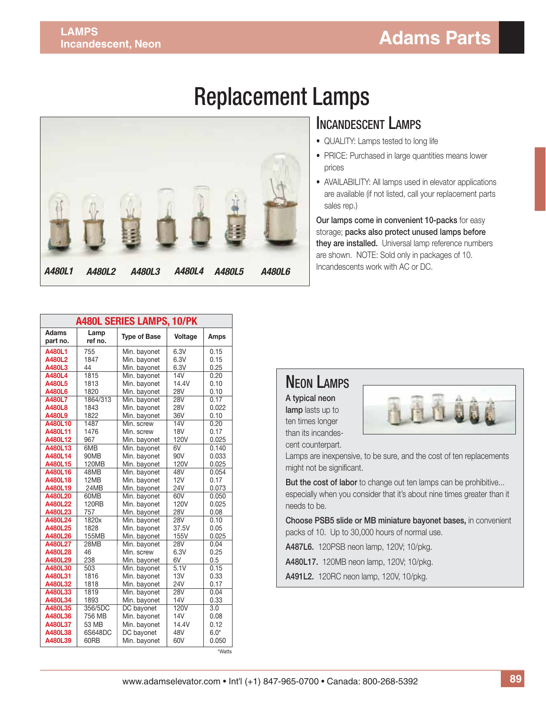# Replacement Lamps



#### INCANDESCENT LAMPS

- QUALITY: Lamps tested to long life
- PRICE: Purchased in large quantities means lower prices
- AVAILABILITY: All lamps used in elevator applications are available (if not listed, call your replacement parts sales rep.)

**Our lamps come in convenient 10-packs** for easy storage; **packs also protect unused lamps before they are installed.** Universal lamp reference numbers are shown. NOTE: Sold only in packages of 10. Incandescents work with AC or DC.

| <b>A480L SERIES LAMPS, 10/PK</b> |                 |                            |                    |              |  |  |
|----------------------------------|-----------------|----------------------------|--------------------|--------------|--|--|
| Adams<br>part no.                | Lamp<br>ref no. | <b>Type of Base</b>        | Voltage            | Amps         |  |  |
| A480L1                           | 755             | Min. bayonet               | 6.3V               | 0.15         |  |  |
| A480L2                           | 1847            | Min. bayonet               | 6.3V               | 0.15         |  |  |
| A480L3                           | 44              | Min. bayonet               | 6.3V               | 0.25         |  |  |
| A480L4                           | 1815            | Min. bayonet               | 14V                | 0.20         |  |  |
| A480L5                           | 1813            | Min. bayonet               | 14.4V              | 0.10         |  |  |
| A480L6                           | 1820            | Min. bayonet               | 28V                | 0.10         |  |  |
| A480L7                           | 1864/313        | Min. bayonet               | 28V                | 0.17         |  |  |
| A480L8                           | 1843            | Min. bayonet               | <b>28V</b>         | 0.022        |  |  |
| A480L9                           | 1822            | Min. bayonet               | 36V                | 0.10         |  |  |
| A480L10                          | 1487            | Min. screw                 | 14V                | 0.20         |  |  |
| A480L11                          | 1476            | Min. screw                 | <b>18V</b>         | 0.17         |  |  |
| A480L12                          | 967             | Min. bayonet               | 120V               | 0.025        |  |  |
| A480L13                          | 6MB             | Min. bayonet               | 6V                 | 0.140        |  |  |
| A480L14                          | 90MB            | Min. bayonet               | 90V                | 0.033        |  |  |
| A480L15                          | 120MB           | Min. bayonet               | 120V               | 0.025        |  |  |
| A480L16                          | 48MB            | Min. bayonet               | 48V                | 0.054        |  |  |
| A480L18                          | 12MB            | Min. bayonet               | 12V                | 0.17         |  |  |
| A480L19                          | 24MB            | Min. bayonet               | <b>24V</b>         | 0.073        |  |  |
| A480L20                          | 60MB            | Min. bayonet               | 60V                | 0.050        |  |  |
| A480L22                          | <b>120RB</b>    | Min. bayonet               | 120V               | 0.025        |  |  |
| A480L23                          | 757             | Min. bayonet               | <b>28V</b>         | 0.08         |  |  |
| A480L24                          | 1820x           | Min. bayonet               | 28V                | 0.10         |  |  |
| A480L25                          | 1828            | Min. bayonet               | 37.5V              | 0.05         |  |  |
| A480L26                          | 155MB           | Min. bayonet               | 155V               | 0.025        |  |  |
| A480L27<br>A480L28               | 28MB<br>46      | Min. bayonet<br>Min. screw | <b>28V</b><br>6.3V | 0.04<br>0.25 |  |  |
| A480L29                          | 238             | Min. bayonet               | 6V                 | 0.5          |  |  |
| A480L30                          | 503             | Min. bayonet               | 5.1V               | 0.15         |  |  |
| A480L31                          | 1816            | Min. bayonet               | 13V                | 0.33         |  |  |
| A480L32                          | 1818            | Min. bayonet               | <b>24V</b>         | 0.17         |  |  |
| A480L33                          | 1819            | Min. bayonet               | 28V                | 0.04         |  |  |
| A480L34                          | 1893            | Min. bayonet               | <b>14V</b>         | 0.33         |  |  |
| A480L35                          | 356/5DC         | DC bayonet                 | 120V               | 3.0          |  |  |
| A480L36                          | 756 MB          | Min. bayonet               | 14V                | 0.08         |  |  |
| A480L37                          | 53 MB           | Min. bayonet               | 14.4V              | 0.12         |  |  |
| A480L38                          | 6S648DC         | DC bayonet                 | 48V                | $6.0*$       |  |  |
| A480L39                          | 60RB            | Min. bavonet               | 60V                | 0.050        |  |  |

#### NEON LAMPS

**A typical neon lamp** lasts up to ten times longer

than its incandescent counterpart.



Lamps are inexpensive, to be sure, and the cost of ten replacements might not be significant.

**But the cost of labor** to change out ten lamps can be prohibitive... especially when you consider that it's about nine times greater than it needs to be.

**Choose PSB5 slide or MB miniature bayonet bases,** in convenient packs of 10. Up to 30,000 hours of normal use.

**A487L6.** 120PSB neon lamp, 120V; 10/pkg.

**A480L17.** 120MB neon lamp, 120V; 10/pkg.

**A491L2.** 120RC neon lamp, 120V, 10/pkg.

\*Watts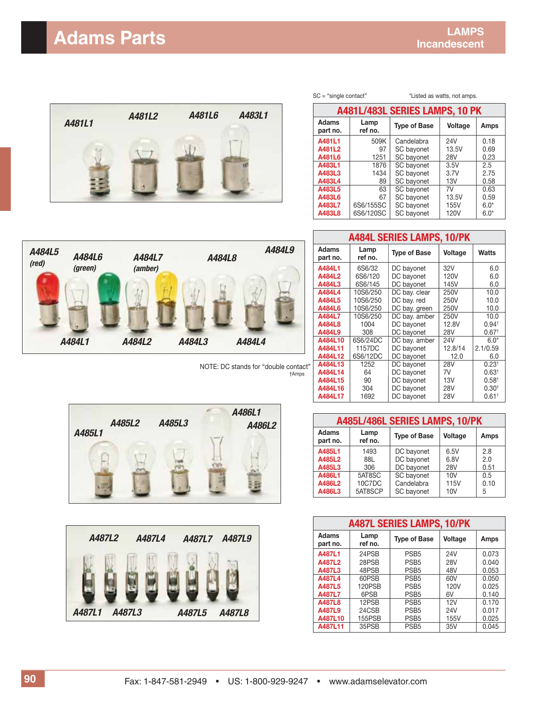## **Adams Parts LAMPS**



| A481L/483L SERIES LAMPS, 10 PK |                 |                                               |             |        |
|--------------------------------|-----------------|-----------------------------------------------|-------------|--------|
| <b>Adams</b><br>part no.       | Lamp<br>ref no. | <b>Type of Base</b><br><b>Voltage</b><br>Amps |             |        |
| A481L1                         | 509K            | Candelabra                                    | 24V         | 0.18   |
| A481L2                         | 97              | SC bayonet                                    | 13.5V       | 0.69   |
| A481L6                         | 1251            | SC bayonet                                    | <b>28V</b>  | 0.23   |
| A483L1                         | 1876            | SC bayonet                                    | 3.5V        | 2.5    |
| A483L3                         | 1434            | SC bayonet                                    | 3.7V        | 2.75   |
| A483L4                         | 89              | SC bayonet                                    | 13V         | 0.58   |
| A483L5                         | 63              | SC bayonet                                    | 7V          | 0.63   |
| A483L6                         | 67              | SC bayonet                                    | 13.5V       | 0.59   |
| A483L7                         | 6S6/155SC       | SC bayonet                                    | 155V        | $6.0*$ |
| A483L8                         | 6S6/120SC       | SC bayonet                                    | <b>120V</b> | $6.0*$ |

SC = "single contact" \*Listed as watts, not amps.



†Amps NOTE: DC stands for "double contact"

| <b>A484L SERIES LAMPS, 10/PK</b> |                 |                     |             |                   |
|----------------------------------|-----------------|---------------------|-------------|-------------------|
| <b>Adams</b><br>part no.         | Lamp<br>ref no. | <b>Type of Base</b> | Voltage     | Watts             |
| A484L1                           | 6S6/32          | DC bayonet          | 32V         | 6.0               |
| A484L2                           | 6S6/120         | DC bayonet          | <b>120V</b> | 6.0               |
| A484L3                           | 6S6/145         | DC bayonet          | 145V        | 6.0               |
| A484L4                           | 10S6/250        | DC bay. clear       | 250V        | 10.0              |
| A484L5                           | 10S6/250        | DC bay. red         | 250V        | 10.0              |
| A484L6                           | 10S6/250        | DC bay. green       | 250V        | 10.0              |
| A484L7                           | 10S6/250        | DC bay. amber       | 250V        | 10.0              |
| A484L8                           | 1004            | DC bayonet          | 12.8V       | 0.94 <sup>†</sup> |
| A484L9                           | 308             | DC bayonet          | 28V         | 0.67 <sup>†</sup> |
| A484L10                          | 6S6/24DC        | DC bay. amber       | 24V         | $6.0*$            |
| A484L11                          | 1157DC          | DC bayonet          | 12.8/14     | 2.1/0.59          |
| A484L12                          | 6S6/12DC        | DC bayonet          | 12.0        | 6.0               |
| A484L13                          | 1252            | DC bayonet          | <b>28V</b>  | $0.23^{+}$        |
| A484L14                          | 64              | DC bayonet          | 7V          | 0.63 <sup>†</sup> |
| A484L15                          | 90              | DC bayonet          | 13V         | 0.58 <sup>†</sup> |
| A484L16                          | 304             | DC bayonet          | 28V         | $0.30^{+}$        |
| A484L17                          | 1692            | DC bayonet          | 28V         | 0.61 <sup>†</sup> |

| A485L/486L SERIES LAMPS, 10/PK |                 |                     |                |      |
|--------------------------------|-----------------|---------------------|----------------|------|
| <b>Adams</b><br>part no.       | Lamp<br>ref no. | <b>Type of Base</b> | <b>Voltage</b> | Amps |
| A485L1                         | 1493            | DC bayonet          | 6.5V           | 2.8  |
| A485L2                         | 88L             | DC bayonet          | 6.8V           | 2.0  |
| A485L3                         | 306             | DC bayonet          | <b>28V</b>     | 0.51 |
| A486L1                         | 5AT8SC          | SC bayonet          | 10V            | 0.5  |
| A486L2                         | 10C7DC          | Candelabra          | <b>115V</b>    | 0.10 |
| A486L3                         | 5AT8SCP         | SC bayonet          | 10V            | 5    |

| <b>A487L SERIES LAMPS, 10/PK</b> |                 |                     |            |       |
|----------------------------------|-----------------|---------------------|------------|-------|
| Adams<br>part no.                | Lamp<br>ref no. | <b>Type of Base</b> | Voltage    | Amps  |
| A487L1                           | 24PSB           | PSB <sub>5</sub>    | 24V        | 0.073 |
| A487L2                           | 28PSB           | PSB <sub>5</sub>    | <b>28V</b> | 0.040 |
| A487L3                           | 48PSB           | PSB <sub>5</sub>    | 48V        | 0.053 |
| A487L4                           | 60PSB           | PSB <sub>5</sub>    | 60V        | 0.050 |
| A487L5                           | <b>120PSB</b>   | PSB <sub>5</sub>    | 120V       | 0.025 |
| A487L7                           | 6PSB            | PSB <sub>5</sub>    | 6V         | 0.140 |
| A487L8                           | 12PSB           | PSB <sub>5</sub>    | 12V        | 0.170 |
| A487L9                           | 24CSB           | PSB <sub>5</sub>    | 24V        | 0.017 |
| A487L10                          | <b>155PSB</b>   | PSB <sub>5</sub>    | 155V       | 0.025 |
| A487L11                          | 35PSB           | PSB <sub>5</sub>    | 35V        | 0.045 |



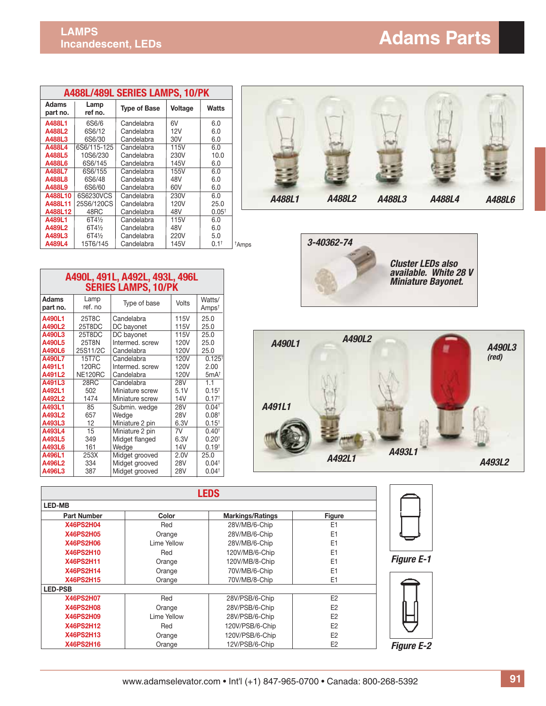| A488L/489L SERIES LAMPS, 10/PK |                  |                     |                |              |
|--------------------------------|------------------|---------------------|----------------|--------------|
| Adams<br>part no.              | Lamp<br>ref no.  | <b>Type of Base</b> | <b>Voltage</b> | <b>Watts</b> |
| A488L1                         | 6S6/6            | Candelabra          | 6V             | 6.0          |
| A488L2                         | 6S6/12           | Candelabra          | 12V            | 6.0          |
| A488L3                         | 6S6/30           | Candelabra          | 30V            | 6.0          |
| A488L4                         | 6S6/115-125      | Candelabra          | 115V           | 6.0          |
| A488L5                         | 10S6/230         | Candelabra          | 230V           | 10.0         |
| A488L6                         | 6S6/145          | Candelabra          | 145V           | 6.0          |
| A488L7                         | 6S6/155          | Candelabra          | 155V           | 6.0          |
| A488L8                         | 6S6/48           | Candelabra          | 48V            | 6.0          |
| A488L9                         | 6S6/60           | Candelabra          | 60V            | 6.0          |
| A488L10                        | 6S6230VCS        | Candelabra          | 230V           | 6.0          |
| A488L11                        | 25S6/120CS       | Candelabra          | 120V           | 25.0         |
| A488L12                        | 48RC             | Candelabra          | 48V            | $0.05^+$     |
| A489L1                         | $6T4\frac{1}{2}$ | Candelabra          | 115V           | 6.0          |
| A489L2                         | $6T4\frac{1}{2}$ | Candelabra          | 48V            | 6.0          |
| A489L3                         | $6T4\frac{1}{2}$ | Candelabra          | 220V           | 5.0          |
| A489L4                         | 15T6/145         | Candelabra          | 145V           | $0.1^+$      |

| 840YLZ                   | 01472             | <u>Gangelabra</u>              | 40 V         | v.v                         |                   |
|--------------------------|-------------------|--------------------------------|--------------|-----------------------------|-------------------|
| A489L3                   | 6T41/2            | Candelabra                     | 220V         | 5.0                         |                   |
| A489L4                   | 15T6/145          | Candelabra                     | 145V         | $0.1^+$                     | <sup>†</sup> Amps |
|                          |                   |                                |              |                             |                   |
|                          |                   | A490L, 491L, A492L, 493L, 496L |              |                             |                   |
|                          |                   | <b>SERIES LAMPS, 10/PK</b>     |              |                             |                   |
| <b>Adams</b><br>part no. | Lamp<br>ref. no   | Type of base                   | <b>Volts</b> | Watts/<br>Amps <sup>t</sup> |                   |
| A490L1<br>A490L2         | 25T8C<br>25T8DC   | Candelabra<br>DC bayonet       | 115V<br>115V | 25.0<br>25.0                |                   |
| A490L3                   | 25T8DC            | DC bayonet                     | 115V         | 25.0                        |                   |
| A490L5                   | 25T8N             | Intermed. screw                | 120V         | 25.0                        |                   |
| A490L6                   | 25S11/2C          | Candelabra                     | 120V         | 25.0                        |                   |
| A490L7                   | 15T7C             | Candelabra                     | 120V         | $0.125^{+}$                 |                   |
| A491L1                   | 120 <sub>RC</sub> | Intermed, screw                | 120V         | 2.00                        |                   |
| A491L2                   | NE120RC           | Candelabra                     | 120V         | 5mA <sup>†</sup>            |                   |
| A491L3                   | 28RC              | Candelabra                     | 28V          | 1.1                         |                   |
| A492L1                   | 502               | Miniature screw                | 5.1V         | $0.15^{+}$                  |                   |
| A492L2                   | 1474              | Miniature screw                | 14V          | 0.17 <sup>†</sup>           |                   |
| A493L1                   | 85                | Submin. wedge                  | 28V          | 0.04 <sup>†</sup>           |                   |
| A493L2                   | 657               | Wedge                          | 28V          | 0.08 <sup>†</sup>           |                   |
| A493L3                   | 12                | Miniature 2 pin                | 6.3V         | $0.15^{+}$                  |                   |
| A493L4                   | 15                | Miniature 2 pin                | 7V           | 0.40 <sup>†</sup>           |                   |
| A493L5                   | 349               | Midget flanged                 | 6.3V         | $0.20^{+}$                  |                   |
| A493L6                   | 161               | Wedge                          | 14V          | 0.19 <sup>†</sup>           |                   |
| A496L1                   | 253X              | Midget grooved                 | 2.0V         | 25.0                        |                   |

**A496L1** 253X Midget grooved 2.0V 25.0<br>**A496L2** 334 Midget grooved 28V 0.04<sup>+</sup> **A496L2** | 334 | Midget grooved | 28V | 0.04<sup>†</sup> **A496L3** | 387 | Midget grooved | 28V | 0.04<sup>†</sup>







|                    |              | <b>LEDS</b>             |                |                   |
|--------------------|--------------|-------------------------|----------------|-------------------|
| <b>LED-MB</b>      |              |                         |                |                   |
| <b>Part Number</b> | Color        | <b>Markings/Ratings</b> | <b>Figure</b>  |                   |
| <b>X46PS2H04</b>   | Red          | 28V/MB/6-Chip           | E <sub>1</sub> |                   |
| <b>X46PS2H05</b>   | Orange       | 28V/MB/6-Chip           | E <sub>1</sub> |                   |
| <b>X46PS2H06</b>   | I ime Yellow | 28V/MB/6-Chip           | E <sub>1</sub> |                   |
| <b>X46PS2H10</b>   | Red          | 120V/MB/6-Chip          | E <sub>1</sub> |                   |
| <b>X46PS2H11</b>   | Orange       | 120V/MB/8-Chip          | F1             | <b>Figure E-1</b> |
| <b>X46PS2H14</b>   | Orange       | 70V/MB/6-Chip           | E <sub>1</sub> |                   |
| <b>X46PS2H15</b>   | Orange       | 70V/MB/8-Chip           | E <sub>1</sub> |                   |
| <b>LED-PSB</b>     |              |                         |                |                   |
| <b>X46PS2H07</b>   | Red          | 28V/PSB/6-Chip          | E <sub>2</sub> |                   |
| <b>X46PS2H08</b>   | Orange       | 28V/PSB/6-Chip          | E <sub>2</sub> |                   |
| <b>X46PS2H09</b>   | Lime Yellow  | 28V/PSB/6-Chip          | F <sub>2</sub> |                   |
| <b>X46PS2H12</b>   | Red          | 120V/PSB/6-Chip         | E <sub>2</sub> |                   |
| <b>X46PS2H13</b>   | Orange       | 120V/PSB/6-Chip         | E <sub>2</sub> |                   |
| <b>X46PS2H16</b>   | Orange       | 12V/PSB/6-Chip          | E <sub>2</sub> | <b>Figure E-2</b> |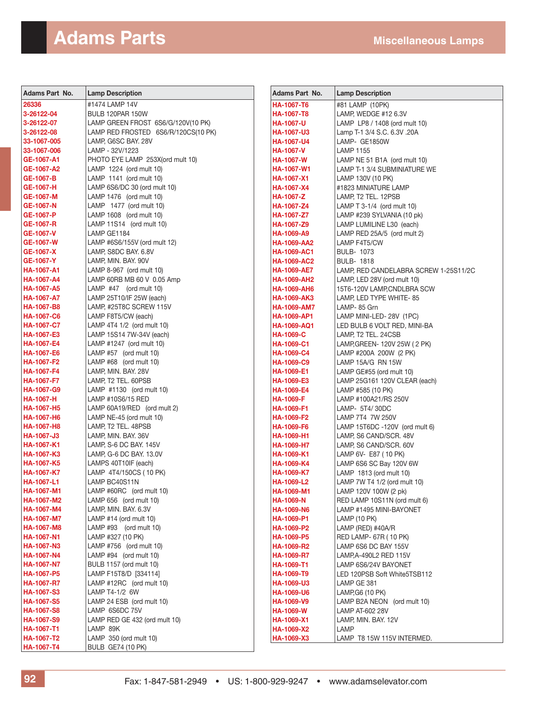#### **Adams Parts Miscellaneous Lamps**

| Adams Part No.                         | <b>Lamp Description</b>                       | <b>Adams Part No.</b>           | <b>Lamp Description</b>                   |
|----------------------------------------|-----------------------------------------------|---------------------------------|-------------------------------------------|
| 26336                                  | #1474 LAMP 14V                                | <b>HA-1067-T6</b>               | #81 LAMP (10PK)                           |
| 3-26122-04                             | BULB 120PAR 150W                              | <b>HA-1067-T8</b>               | LAMP, WEDGE #12 6.3V                      |
| 3-26122-07                             | LAMP GREEN FROST 6S6/G/120V(10 PK)            | <b>HA-1067-U</b>                | LAMP LP8 / 1408 (ord mult 10)             |
| 3-26122-08                             | LAMP RED FROSTED 6S6/R/120CS(10 PK)           | <b>HA-1067-U3</b>               | Lamp T-1 3/4 S.C. 6.3V .20A               |
| 33-1067-005                            | LAMP, G6SC BAY. 28V                           | <b>HA-1067-U4</b>               | LAMP- GE1850W                             |
| 33-1067-006                            | LAMP - 32V/1223                               | <b>HA-1067-V</b>                | <b>LAMP 1155</b>                          |
| GE-1067-A1                             | PHOTO EYE LAMP 253X(ord mult 10)              | <b>HA-1067-W</b>                | LAMP NE 51 B1A (ord mult 10)              |
| GE-1067-A2                             | LAMP 1224 (ord mult 10)                       | <b>HA-1067-W1</b>               | LAMP T-1 3/4 SUBMINIATURE WE              |
| GE-1067-B                              | LAMP 1141 (ord mult 10)                       | <b>HA-1067-X1</b>               | LAMP 130V (10 PK)                         |
| GE-1067-H                              | LAMP 6S6/DC 30 (ord mult 10)                  | HA-1067-X4                      | #1823 MINIATURE LAMP                      |
| <b>GE-1067-M</b>                       | LAMP 1476 (ord mult 10)                       | <b>HA-1067-Z</b>                | LAMP, T2 TEL. 12PSB                       |
| GE-1067-N                              | LAMP 1477 (ord mult 10)                       | HA-1067-Z4                      | LAMP T 3-1/4 (ord mult 10)                |
| GE-1067-P                              | LAMP 1608 (ord mult 10)                       | HA-1067-Z7                      | LAMP #239 SYLVANIA (10 pk)                |
| GE-1067-R                              | LAMP 11S14 (ord mult 10)                      | HA-1067-Z9                      | LAMP LUMILINE L30 (each)                  |
| GE-1067-V                              | LAMP GE1184                                   | HA-1069-A9                      | LAMP RED 25A/5 (ord mult 2)               |
| GE-1067-W                              | LAMP #6S6/155V (ord mult 12)                  | HA-1069-AA2                     | LAMP F4T5/CW                              |
| GE-1067-X                              | LAMP, S8DC BAY. 6.8V                          | <b>HA-1069-AC1</b>              | <b>BULB- 1073</b>                         |
| GE-1067-Y                              | LAMP, MIN. BAY. 90V                           | <b>HA-1069-AC2</b>              | <b>BULB-1818</b>                          |
| <b>HA-1067-A1</b>                      | LAMP 8-967 (ord mult 10)                      | <b>HA-1069-AE7</b>              | LAMP, RED CANDELABRA SCREW 1-25S11/2C     |
| <b>HA-1067-A4</b>                      | LAMP 60RB MB 60 V 0.05 Amp                    | <b>HA-1069-AH2</b>              | LAMP, LED 28V (ord mult 10)               |
| <b>HA-1067-A5</b>                      | LAMP $#47$ (ord mult 10)                      | <b>HA-1069-AH6</b>              | 15T6-120V LAMP, CNDLBRA SCW               |
| <b>HA-1067-A7</b>                      | LAMP 25T10/IF 25W (each)                      | <b>HA-1069-AK3</b>              | LAMP, LED TYPE WHITE-85                   |
| <b>HA-1067-B8</b>                      | LAMP, #25T8C SCREW 115V                       | <b>HA-1069-AM7</b>              | LAMP- 85 Grn                              |
| <b>HA-1067-C6</b>                      | LAMP F8T5/CW (each)                           | <b>HA-1069-AP1</b>              | LAMP MINI-LED-28V (1PC)                   |
| <b>HA-1067-C7</b>                      | LAMP 4T4 1/2 (ord mult 10)                    | <b>HA-1069-AQ1</b>              | LED BULB 6 VOLT RED, MINI-BA              |
| <b>HA-1067-E3</b>                      | LAMP 15S14 7W-34V (each)                      | <b>HA-1069-C</b>                | LAMP, T2 TEL. 24CSB                       |
| <b>HA-1067-E4</b>                      | LAMP #1247 (ord mult 10)                      | <b>HA-1069-C1</b>               | LAMP, GREEN- 120V 25W (2 PK)              |
| <b>HA-1067-E6</b>                      | LAMP #57 (ord mult 10)                        | <b>HA-1069-C4</b>               | LAMP #200A 200W (2 PK)                    |
| <b>HA-1067-F2</b>                      | LAMP #68 (ord mult 10)                        | <b>HA-1069-C9</b>               | LAMP 15A/G RN 15W                         |
| <b>HA-1067-F4</b>                      | LAMP, MIN. BAY. 28V                           | <b>HA-1069-E1</b>               | LAMP GE#55 (ord mult 10)                  |
| <b>HA-1067-F7</b><br><b>HA-1067-G9</b> | LAMP, T2 TEL. 60PSB                           | HA-1069-E3<br><b>HA-1069-E4</b> | LAMP 25G161 120V CLEAR (each)             |
| <b>HA-1067-H</b>                       | LAMP #1130 (ord mult 10)<br>LAMP #10S6/15 RED | <b>HA-1069-F</b>                | LAMP #585 (10 PK)<br>LAMP #100A21/RS 250V |
| <b>HA-1067-H5</b>                      | LAMP 60A19/RED (ord mult 2)                   | <b>HA-1069-F1</b>               | LAMP- 5T4/30DC                            |
| <b>HA-1067-H6</b>                      | LAMP NE-45 (ord mult 10)                      | <b>HA-1069-F2</b>               | LAMP 7T4 7W 250V                          |
| <b>HA-1067-H8</b>                      | LAMP, T2 TEL. 48PSB                           | <b>HA-1069-F6</b>               | LAMP 15T6DC -120V (ord mult 6)            |
| HA-1067-J3                             | LAMP, MIN. BAY. 36V                           | HA-1069-H1                      | LAMP, S6 CAND/SCR. 48V                    |
| <b>HA-1067-K1</b>                      | LAMP, S-6 DC BAY. 145V                        | HA-1069-H7                      | LAMP, S6 CAND/SCR. 60V                    |
| <b>HA-1067-K3</b>                      | LAMP, G-6 DC BAY. 13.0V                       | HA-1069-K1                      | LAMP 6V- E87 (10 PK)                      |
| <b>HA-1067-K5</b>                      | LAMPS 40T10IF (each)                          | HA-1069-K4                      | LAMP 6S6 SC Bay 120V 6W                   |
| <b>HA-1067-K7</b>                      | LAMP 4T4/150CS (10 PK)                        | <b>HA-1069-K7</b>               | LAMP 1813 (ord mult 10)                   |
| <b>HA-1067-L1</b>                      | LAMP BC40S11N                                 | HA-1069-L2                      | LAMP 7W T4 1/2 (ord mult 10)              |
| HA-1067-M1                             | LAMP #60RC (ord mult 10)                      | HA-1069-M1                      | LAMP 120V 100W (2 pk)                     |
| HA-1067-M2                             | LAMP 656 (ord mult 10)                        | <b>HA-1069-N</b>                | RED LAMP 10S11N (ord mult 6)              |
| HA-1067-M4                             | LAMP, MIN. BAY. 6.3V                          | HA-1069-N6                      | LAMP #1495 MINI-BAYONET                   |
| <b>HA-1067-M7</b>                      | LAMP #14 (ord mult 10)                        | HA-1069-P1                      | <b>LAMP (10 PK)</b>                       |
| HA-1067-M8                             | LAMP #93 (ord mult 10)                        | HA-1069-P2                      | LAMP (RED) #40A/R                         |
| <b>HA-1067-N1</b>                      | LAMP #327 (10 PK)                             | HA-1069-P5                      | RED LAMP- 67R (10 PK)                     |
| <b>HA-1067-N3</b>                      | LAMP #756 (ord mult 10)                       | <b>HA-1069-R2</b>               | LAMP 6S6 DC BAY 155V                      |
| HA-1067-N4                             | LAMP #94 (ord mult 10)                        | <b>HA-1069-R7</b>               | LAMP, A-490L2 RED 115V                    |
| <b>HA-1067-N7</b>                      | BULB 1157 (ord mult 10)                       | HA-1069-T1                      | LAMP 6S6/24V BAYONET                      |
| HA-1067-P5                             | LAMP F15T8/D [334114]                         | HA-1069-T9                      | LED 120PSB Soft White5TSB112              |
| <b>HA-1067-R7</b>                      | LAMP #12RC (ord mult 10)                      | HA-1069-U3                      | LAMP GE 381                               |
| <b>HA-1067-S3</b>                      | LAMP T4-1/2 6W                                | HA-1069-U6                      | LAMP, G6 (10 PK)                          |
| <b>HA-1067-S5</b>                      | LAMP 24 ESB (ord mult 10)                     | HA-1069-V9                      | LAMP B2A NEON (ord mult 10)               |
| <b>HA-1067-S8</b>                      | LAMP 6S6DC 75V                                | <b>HA-1069-W</b>                | LAMP AT-602 28V                           |
| <b>HA-1067-S9</b>                      | LAMP RED GE 432 (ord mult 10)                 | HA-1069-X1                      | LAMP, MIN. BAY. 12V                       |
| <b>HA-1067-T1</b>                      | LAMP 89K                                      | HA-1069-X2                      | LAMP                                      |
| HA-1067-T2                             | LAMP 350 (ord mult 10)                        | HA-1069-X3                      | LAMP T8 15W 115V INTERMED.                |
| HA-1067-T4                             | <b>BULB GE74 (10 PK)</b>                      |                                 |                                           |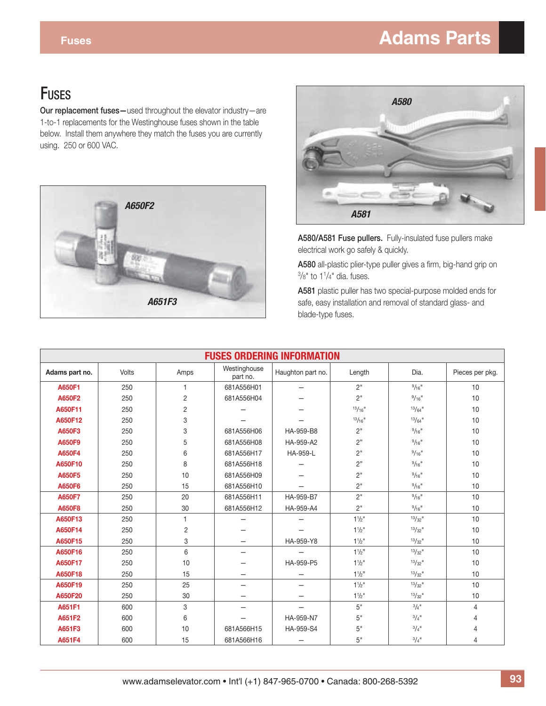## **Fuses Adams Parts**

**Our replacement fuses—**used throughout the elevator industry—are 1-to-1 replacements for the Westinghouse fuses shown in the table below. Install them anywhere they match the fuses you are currently using. 250 or 600 VAC.





A580/A581 Fuse pullers. Fully-insulated fuse pullers make electrical work go safely & quickly.

A580 all-plastic plier-type puller gives a firm, big-hand grip on  $\frac{3}{8}$ " to 1<sup>1</sup>/4" dia. fuses.

**A581** plastic puller has two special-purpose molded ends for safe, easy installation and removal of standard glass- and blade-type fuses.

|                | <b>FUSES ORDERING INFORMATION</b> |                |                          |                          |                       |                       |                 |
|----------------|-----------------------------------|----------------|--------------------------|--------------------------|-----------------------|-----------------------|-----------------|
| Adams part no. | Volts                             | Amps           | Westinghouse<br>part no. | Haughton part no.        | Length                | Dia.                  | Pieces per pkg. |
| A650F1         | 250                               | 1              | 681A556H01               |                          | 2"                    | $9/16$ "              | 10              |
| A650F2         | 250                               | $\overline{2}$ | 681A556H04               |                          | 2"                    | $9/16$ "              | 10              |
| A650F11        | 250                               | $\overline{2}$ |                          |                          | $13/16$ <sup>"</sup>  | $13/64$ "             | 10              |
| A650F12        | 250                               | 3              |                          |                          | $13/16$ <sup>11</sup> | $13/64$ "             | 10              |
| A650F3         | 250                               | 3              | 681A556H06               | HA-959-B8                | 2"                    | 9/16                  | 10              |
| A650F9         | 250                               | 5              | 681A556H08               | HA-959-A2                | 2"                    | $9/16$ "              | 10              |
| A650F4         | 250                               | 6              | 681A556H17               | HA-959-L                 | 2"                    | $9/16$ "              | 10              |
| A650F10        | 250                               | 8              | 681A556H18               |                          | 2"                    | $9/16$ "              | 10              |
| A650F5         | 250                               | 10             | 681A556H09               |                          | 2"                    | 9/16                  | 10              |
| A650F6         | 250                               | 15             | 681A556H10               |                          | 2"                    | $9/16$ "              | 10              |
| A650F7         | 250                               | 20             | 681A556H11               | HA-959-B7                | 2"                    | $9/16$ "              | 10              |
| A650F8         | 250                               | 30             | 681A556H12               | HA-959-A4                | 2"                    | $9/16$ "              | 10              |
| A650F13        | 250                               | $\mathbf{1}$   |                          |                          | 11/p''                | $13/32$ <sup>11</sup> | 10              |
| A650F14        | 250                               | $\overline{2}$ |                          |                          | $1^{1/2}$             | $13/32$ <sup>11</sup> | 10              |
| A650F15        | 250                               | 3              |                          | HA-959-Y8                | $1^{1/2}$             | $13/32$ "             | 10              |
| A650F16        | 250                               | 6              |                          |                          | 11/2"                 | $13/32$ <sup>11</sup> | 10              |
| A650F17        | 250                               | 10             |                          | HA-959-P5                | $1\frac{1}{2}$        | $13/32$ "             | 10              |
| A650F18        | 250                               | 15             |                          |                          | 11/2"                 | $13/32$ "             | 10              |
| A650F19        | 250                               | 25             | $\overline{\phantom{0}}$ | $\overline{\phantom{0}}$ | $1\frac{1}{2}$        | $13/32$ <sup>11</sup> | 10              |
| A650F20        | 250                               | 30             |                          |                          | $1^{1/2}$             | $13/32$ <sup>11</sup> | 10              |
| A651F1         | 600                               | 3              | $\overline{\phantom{0}}$ | $\overline{\phantom{0}}$ | 5"                    | $3/4$ <sup>11</sup>   | 4               |
| A651F2         | 600                               | 6              |                          | HA-959-N7                | 5"                    | $3/4$ <sup>11</sup>   | 4               |
| A651F3         | 600                               | 10             | 681A566H15               | HA-959-S4                | 5"                    | $3/4$ <sup>11</sup>   | 4               |
| A651F4         | 600                               | 15             | 681A566H16               |                          | 5"                    | $3/4$ <sup>11</sup>   | 4               |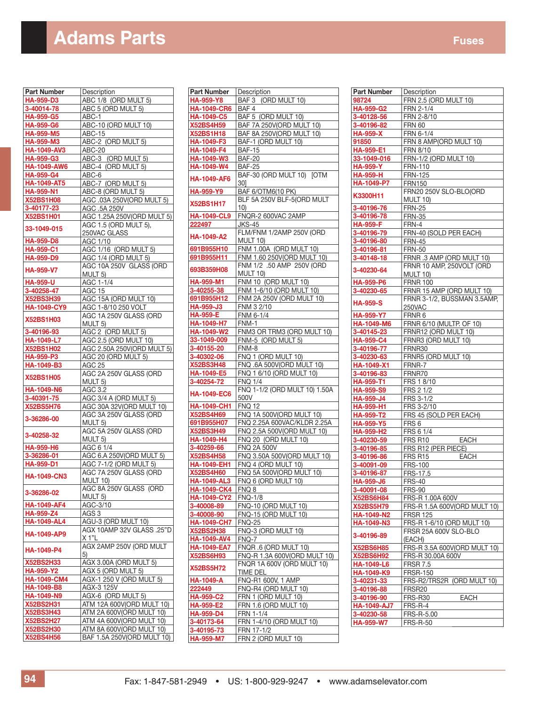## **Adams Parts** Fuses **Adams Parts**

| <b>Part Number</b>            | Description                                            |
|-------------------------------|--------------------------------------------------------|
| <b>HA-959-D3</b>              | ABC 1/8 (ORD MULT 5)                                   |
| 3-40014-78                    | ABC 5 (ORD MULT 5)                                     |
| HA-959-G5                     | ABC-1                                                  |
| <b>HA-959-G6</b>              | ABC-10 (ORD MULT 10)                                   |
| HA-959-M5                     |                                                        |
|                               | ABC-15                                                 |
| HA-959-M3                     | ABC-2 (ORD MULT 5)                                     |
| HA-1049-AV3                   | <b>ABC-20</b>                                          |
| HA-959-G3                     | ABC-3 (ORD MULT 5)                                     |
| <b>HA-1049-AW6</b>            | ABC-4 (ORD MULT 5)                                     |
| HA-959-G4                     | ABC-6                                                  |
| <b>HA-1049-AT5</b>            | ABC-7 (ORD MULT 5)                                     |
| HA-959-N1                     | ABC-8 (ORD MULT 5)                                     |
| <b>X52BS1H08</b>              | AGC .03A 250V(ORD MULT 5)                              |
|                               |                                                        |
| 3-40177-23                    | AGC .5A 250V                                           |
| <b>X52BS1H01</b>              | AGC 1.25A 250V(ORD MULT 5)                             |
| 33-1049-015                   | AGC 1.5 (ORD MULT 5),                                  |
|                               | 250VAC GLASS                                           |
| HA-959-D8                     | AGC 1/10                                               |
| HA-959-C1                     | AGC 1/16 (ORD MULT 5)                                  |
| HA-959-D9                     | AGC 1/4 (ORD MULT 5)                                   |
|                               | AGC 10A 250V GLASS (ORD                                |
| <b>HA-959-V7</b>              | MULT <sub>5</sub> )                                    |
|                               |                                                        |
| HA-959-U                      | AGC 1-1/4                                              |
| 3-40258-47                    | AGC 15                                                 |
| <b>X52BS3H39</b>              | AGC 15A (ORD MULT 10)<br>AGC 1-8/10 250 VOLT           |
| HA-1049-CY9                   |                                                        |
|                               | AGC 1A 250V GLASS (ORD                                 |
| <b>X52BS1H03</b>              | MULT 5)                                                |
| 3-40196-93                    | AGC 2 (ORD MULT 5)                                     |
| HA-1049-L7                    | AGC 2.5 (ORD MULT 10)                                  |
| <b>X52BS1H02</b>              | AGC 2.50A 250V(ORD MULT 5)                             |
|                               |                                                        |
| <b>HA-959-P3</b>              | AGC 20 (ORD MULT 5)                                    |
| HA-1049-B3                    | AGC 25                                                 |
| <b>X52BS1H05</b>              | AGC 2A 250V GLASS (ORD                                 |
|                               | MULT 5)                                                |
| <b>HA-1049-N6</b>             | AGC 3.2                                                |
| 3-40391-75                    | AGC 3/4 A (ORD MULT 5)                                 |
| <b>X52BS5H76</b>              | AGC 30A 32V(ORD MULT 10)                               |
|                               | AGC 3A 250V GLASS (ORD                                 |
| 3-36286-00                    | MULT 5)                                                |
|                               | AGC 5A 250V GLASS (ORD                                 |
| 3-40258-32                    | MULT <sub>5</sub> )                                    |
| HA-959-H6                     | AGC 6 1/4                                              |
|                               |                                                        |
| 3-36286-01                    | AGC 6.A 250V(ORD MULT 5)                               |
| HA-959-D1                     | AGC 7-1/2 (ORD MULT 5)                                 |
| <b>HA-1049-CN3</b>            | AGC 7A 250V GLASS (ORD                                 |
|                               | <b>MULT 10)</b>                                        |
| 3-36286-02                    | AGC 8A 250V GLASS (ORD                                 |
|                               | MULT 5)                                                |
| HA-1049-AF4                   | AGC-3/10                                               |
| HA-959-Z4                     | AGS 3                                                  |
| <b>HA-1049-AL4</b>            | AGU-3 (ORD MULT 10)                                    |
|                               | AGX 10AMP 32V GLASS .25"D                              |
| HA-1049-AP9                   | X 1"L                                                  |
|                               |                                                        |
| HA-1049-P4                    | AGX 2AMP 250V (ORD MULT                                |
|                               | 5)                                                     |
| <b>X52BS2H33</b>              | AGX 3.00A (ORD MULT 5)                                 |
| HA-959-Y2                     | AGX 5 (ORD MULT 5)                                     |
| <b>HA-1049-CM4</b>            | AGX-1 250 V (ORD MULT 5)                               |
| HA-1049-B8                    | AGX-3 125V                                             |
| <b>HA-1049-N9</b>             | AGX-6 (ORD MULT 5)                                     |
| <b>X52BS2H31</b>              | ATM 12A 600V(ORD MULT 10)                              |
|                               |                                                        |
| <b>X52BS3H43</b>              | ATM 2A 600V(ORD MULT 10)                               |
| <b>X52BS2H27</b>              | ATM 4A 600V(ORD MULT 10)                               |
|                               |                                                        |
| <b>X52BS2H30</b><br>X52BS4H56 | ATM 8A 600V(ORD MULT 10)<br>BAF 1.5A 250V(ORD MULT 10) |

| <b>Part Number</b> | Description                            |
|--------------------|----------------------------------------|
| <b>HA-959-Y8</b>   | BAF 3 (ORD MULT 10)                    |
| <b>HA-1049-CR6</b> | $BAF$ <sup>4</sup>                     |
| <b>HA-1049-C5</b>  | BAF 5 (ORD MULT 10)                    |
| <b>X52BS4H59</b>   | BAF 7A 250V(ORD MULT 10)               |
| <b>X52BS1H18</b>   | BAF 8A 250V(ORD MULT 10)               |
| <b>HA-1049-F3</b>  | BAF-1 (ORD MULT 10)                    |
| HA-1049-F4         | <b>BAF-15</b>                          |
| HA-1049-W3         | <b>BAF-20</b>                          |
| HA-1049-W4         | <b>BAF-25</b>                          |
| <b>HA-1049-AF6</b> | BAF-30 (ORD MULT 10) [OTM<br>30]       |
| <b>HA-959-Y9</b>   | BAF 6/OTM6(10 PK)                      |
| <b>X52BS1H17</b>   | BLF 5A 250V BLF-5(ORD MULT<br>10)      |
| <b>HA-1049-CL9</b> | FNQR-2 600VAC 2AMP                     |
| 222497             | JKS-45                                 |
| <b>HA-1049-A2</b>  | FLM/FNM 1/2AMP 250V (ORD<br>MULT 10)   |
| 691B955H10         | FNM 1.00A (ORD MULT 10)                |
| 691B955H11         | FNM 1.60 250V(ORD MULT 10)             |
| 693B359H08         | FNM 1/2 .50 AMP 250V (ORD              |
|                    | MULT 10)                               |
| <b>HA-959-M1</b>   | FNM 10 (ORD MULT 10)                   |
| 3-40255-38         | FNM 1-6/10 (ORD MULT 10)               |
| 691B955H12         | FNM 2A 250V (ORD MULT 10)              |
| HA-959-J3          | FNM 3 2/10                             |
| <b>HA-959-E</b>    | FNM 6-1/4                              |
| <b>HA-1049-H7</b>  | FNM-1                                  |
| HA-1049-W2         | FNM3 OR TRM3 (ORD MULT 10)             |
| 33-1049-009        | FNM-5 (ORD MULT 5)                     |
| 3-40155-20         | FNM-8                                  |
| 3-40302-06         | FNQ 1 (ORD MULT 10)                    |
| <b>X52BS3H48</b>   | FNQ .6A 500V(ORD MULT 10)              |
| <b>HA-1049-E5</b>  | FNQ 1 6/10 (ORD MULT 10)               |
| 3-40254-72         | <b>FNQ 1/4</b>                         |
| <b>HA-1049-EC6</b> | FNQ 1-1/2 (ORD MULT 10) 1.50A<br>500V  |
| <b>HA-1049-CH1</b> | <b>FNQ 12</b>                          |
| <b>X52BS4H69</b>   | FNQ 1A 500V(ORD MULT 10)               |
| 691B955H07         | FNQ 2.25A 600VAC/KLDR 2.25A            |
| <b>X52BS3H49</b>   | FNQ 2.5A 500V(ORD MULT 10)             |
| HA-1049-H4         | FNQ 20 (ORD MULT 10)                   |
| 3-40259-66         | <b>FNQ 2A 500V</b>                     |
| <b>X52BS4H58</b>   | FNQ 3.50A 500V(ORD MULT 10)            |
| <b>HA-1049-EH1</b> | FNQ 4 (ORD MULT 10)                    |
| <b>X52BS4H60</b>   | FNQ 5A 500V(ORD MULT 10)               |
| <b>HA-1049-AL3</b> | FNQ 6 (ORD MULT 10)                    |
| <b>HA-1049-CK4</b> | FNQ8                                   |
| <b>HA-1049-CY2</b> | <b>FNQ-1/8</b>                         |
| 3-40008-89         | FNQ-10 (ORD MULT 10)                   |
| 3-40008-90         | <b>FNQ-15 (ORD MULT 10)</b>            |
| <b>HA-1049-CH7</b> | FNQ-25                                 |
| <b>X52BS2H38</b>   | FNQ-3 (ORD MULT 10)                    |
| <b>HA-1049-AV4</b> | FNQ-7                                  |
| <b>HA-1049-EA7</b> | <b>FNQR .6 (ORD MULT 10)</b>           |
| <b>X52BS6H93</b>   | FNQ-R 1.3A 600V(ORD MULT 10)           |
| <b>X52BS5H72</b>   | FNQR 1A 600V (ORD MULT 10)<br>TIME DEL |
| <b>HA-1049-A</b>   | FNQ-R1 600V, 1 AMP                     |
| 222449             | FNQ-R4 (ORD MULT 10)                   |
| <b>HA-959-C2</b>   | FRN 1 (ORD MULT 10)                    |
| <b>HA-959-E2</b>   | FRN 1.6 (ORD MULT 10)                  |
| HA-959-D4          | FRN 1-1/4                              |
| 3-40173-64         | FRN 1-4/10 (ORD MULT 10)               |
| 3-40195-73         | FRN 17-1/2                             |
| <b>HA-959-M7</b>   | FRN 2 (ORD MULT 10)                    |

| Part Number                    | Description                   |
|--------------------------------|-------------------------------|
| 98724                          | FRN 2.5 (ORD MULT 10)         |
| HA-959-G2                      | FRN 2-1/4                     |
| 3-40128-56                     | FRN 2-8/10                    |
| 3-40196-82                     | <b>FRN 60</b>                 |
| <b>HA-959-X</b>                | FRN 6-1/4                     |
| 91850                          | FRN 8 AMP(ORD MULT 10)        |
| HA-959-E1                      | FRN 8/10                      |
| 33-1049-016                    | FRN-1/2 (ORD MULT 10)         |
| <b>HA-959-Y</b>                | <b>FRN-110</b>                |
| <b>HA-959-H</b>                | <b>FRN-125</b>                |
| HA-1049-P7                     | <b>FRN150</b>                 |
|                                | FRN20 250V SLO-BLO(ORD        |
| K3300H11                       |                               |
|                                | MULT 10)                      |
| 3-40196-76                     | <b>FRN-25</b>                 |
| 3-40196-78                     | <b>FRN-35</b>                 |
| HA-959-F                       | FRN-4                         |
| 3-40196-79                     | FRN-40 (SOLD PER EACH)        |
| 3-40196-80                     | <b>FRN-45</b>                 |
| 3-40196-81                     | <b>FRN-50</b>                 |
| 3-40148-18                     | FRNR .3 AMP (ORD MULT 10)     |
| 3-40230-64                     | FRNR 10 AMP, 250VOLT (ORD     |
|                                | MULT 10)                      |
| HA-959-P6                      | <b>FRNR 100</b>               |
| 3-40230-65                     | FRNR 15 AMP (ORD MULT 10)     |
| <b>HA-959-S</b>                | FRNR 3-1/2, BUSSMAN 3.5AMP,   |
|                                | 250VAC                        |
| HA-959-Y7                      | FRNR 6                        |
| HA-1049-M6                     | FRNR 6/10 (MULTP. OF 10)      |
| 3-40145-23                     | FRNR12 (ORD MULT 10)          |
| HA-959-C4                      | FRNR3 (ORD MULT 10)           |
| 3-40196-77                     | FRNR30                        |
| 3-40230-63                     | FRNR5 (ORD MULT 10)           |
| HA-1049-X1                     | FRNR-7                        |
| 3-40196-83                     | FRNR70                        |
| HA-959-T1                      | FRS 1 8/10                    |
| HA-959-S9                      | FRS 2 1/2                     |
| HA-959-J4                      | FRS 3-1/2                     |
| HA-959-H1                      | FRS 3-2/10                    |
| HA-959-T2                      | FRS 45 (SOLD PER EACH)        |
| HA-959-Y5                      | FRS 6                         |
| HA-959-H2                      | FRS 6 1/4                     |
| 3-40230-59                     | FRS R10<br><b>EACH</b>        |
| 3-40196-85                     | FRS R12 (PER PIECE)           |
| 3-40196-86                     | <b>EACH</b><br>FRS R15        |
| 3-40091-09                     | <b>FRS-100</b>                |
| 3-40196-87                     | FRS-17.5                      |
|                                |                               |
| <u>HA-959-J6</u><br>3-40091-08 | FRS-40                        |
| <b>X52BS6H84</b>               | FRS-90                        |
|                                | FRS-R 1.00A 600V              |
| X52BS5H79                      | FRS-R 1.5A 600V(ORD MULT 10)  |
| HA-1049-N2                     | <b>FRSR 125</b>               |
| HA-1049-N3                     | FRS-R 1-6/10 (ORD MULT 10)    |
| 3-40196-89                     | FRSR 25A 600V SLO-BLO         |
|                                | (EACH)                        |
| <b>X52BS6H85</b>               | FRS-R 3.5A 600V(ORD MULT 10)  |
| <b>X52BS6H92</b>               | FRS-R 30.00A 600V             |
| HA-1049-L6                     | <b>FRSR 7.5</b>               |
| HA-1049-K9                     | <b>FRSR-150</b>               |
| 3-40231-33                     | FRS-R2/TRS2R (ORD MULT 10)    |
| 3-40196-88                     | FRSR <sub>20</sub>            |
| 3-40196-90                     | <b>EACH</b><br><b>FRS-R30</b> |
| <b>HA-1049-AJ7</b>             | FRS-R-4                       |
| 3-40230-58                     | FRS-R-5.00                    |
| HA-959-W7                      | <b>FRS-R-50</b>               |
|                                |                               |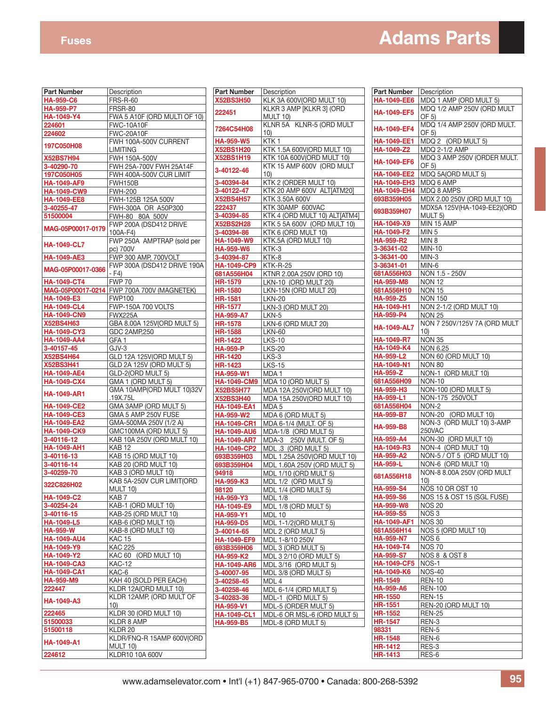## **Fuses Adams Parts**

| <b>Part Number</b> | Description                                |
|--------------------|--------------------------------------------|
| <b>HA-959-C6</b>   | <b>FRS-R-60</b>                            |
| <b>HA-959-P7</b>   | FRSR-80                                    |
| HA-1049-Y4         | FWA 5 A10F (ORD MULTI OF 10)               |
| 224601             | <b>FWC-10A10F</b>                          |
| 224602             | <b>FWC-20A10F</b>                          |
| 197C050H08         | FWH 100A-500V CURRENT<br>LIMITING          |
| <b>X52BS7H94</b>   | FWH 150A-500V                              |
| 3-40290-70         | FWH 25A-700V FWH 25A14F                    |
| 197C050H05         | FWH 400A-500V CUR LIMIT                    |
| <b>HA-1049-AF9</b> | FWH150B                                    |
|                    |                                            |
| <b>HA-1049-CW9</b> | <b>FWH-200</b>                             |
| <b>HA-1049-EE8</b> | FWH-125B 125A 500V                         |
| 3-40255-47         | FWH-300A OR A50P300                        |
| 51500004           | FWH-80 80A 500V                            |
| MAG-05P00017-0179  | FWP 200A (DSD412 DRIVE<br>100A-F4)         |
| <b>HA-1049-CL7</b> | FWP 250A AMPTRAP (sold per<br>pc) 700V     |
| <b>HA-1049-AE3</b> | FWP 300 AMP, 700VOLT                       |
| MAG-05P00017-0366  | FWP 300A (DSD412 DRIVE 190A<br>- F4)       |
| <b>HA-1049-CT4</b> | <b>FWP 70</b>                              |
|                    | MAG-05P00017-0214 FWP 700A 700V (MAGNETEK) |
| HA-1049-E3         | <b>FWP100</b>                              |
| <b>HA-1049-CL4</b> | <b>FWP-150A 700 VOLTS</b>                  |
| <b>HA-1049-CN9</b> | <b>FWX225A</b>                             |
| <b>X52BS4H63</b>   |                                            |
|                    | GBA 8.00A 125V(ORD MULT 5)                 |
| <b>HA-1049-CY3</b> | GDC 2AMP, 250                              |
| <b>HA-1049-AA4</b> | GFA 1                                      |
| 3-40157-45         | GJV-3                                      |
| <b>X52BS4H64</b>   | GLD 12A 125V(ORD MULT 5)                   |
| <b>X52BS3H41</b>   | GLD 2A 125V (ORD MULT 5)                   |
| <b>HA-1049-AE4</b> | GLD-2(ORD MULT 5)                          |
| <b>HA-1049-CX4</b> | GMA 1 (ORD MULT 5)                         |
| <b>HA-1049-AR1</b> | GMA 10AMP(ORD MULT 10)32V<br>.19X.75L      |
| <b>HA-1049-CE2</b> | GMA 3AMP (ORD MULT 5)                      |
| <b>HA-1049-CE3</b> | GMA 5 AMP 250V FUSE                        |
| <b>HA-1049-EA2</b> | GMA-500MA 250V (1/2 A)                     |
| <b>HA-1049-CK9</b> | GMC100MA (ORD MULT 5)                      |
| 3-40116-12         | KAB 10A 250V (ORD MULT 10)                 |
| HA-1049-AH1        | <b>KAB 12</b>                              |
| 3-40116-13         | KAB 15 (ORD MULT 10)                       |
| 3-40116-14         | KAB 20 (ORD MULT 10)                       |
| 3-40259-70         | KAB 3 (ORD MULT 10)                        |
|                    | KAB 5A-250V CUR LIMIT(ORD                  |
| 322C826H02         | <b>MULT 10)</b>                            |
| <b>HA-1049-C2</b>  | KAB 7                                      |
| 3-40254-24         | KAB-1 (ORD MULT 10)                        |
| 3-40116-15         | KAB-25 (ORD MULT 10)                       |
| <b>HA-1049-L5</b>  | KAB-6 (ORD MULT 10)                        |
| <b>HA-959-W</b>    | KAB-8 (ORD MULT 10)                        |
| <b>HA-1049-AU4</b> | <u>KAC 15</u>                              |
| HA-1049-Y9         | <b>KAC 225</b>                             |
| HA-1049-Y2         | KAC 60 (ORD MULT 10)                       |
| <b>HA-1049-CA3</b> | KAC-12                                     |
| <b>HA-1049-CA1</b> | KAC-6                                      |
| <b>HA-959-M9</b>   | KAH 40 (SOLD PER EACH)                     |
| 222447             | KLDR 12A(ORD MULT 10)                      |
| HA-1049-A3         | KLDR 12AMP, (ORD MULT OF<br>10)            |
| 222465             | KLDR 30 (ORD MULT 10)                      |
| 51500033           | KLDR 8 AMP                                 |
| 51500118           | KLDR 20                                    |
|                    | KLDR/FNQ-R 15AMP 600V(ORD                  |
| <b>HA-1049-A1</b>  | MULT 10)                                   |
| 224612             | KLDR10 10A 600V                            |
|                    |                                            |

| <b>Part Number</b>                     | Description                                          |
|----------------------------------------|------------------------------------------------------|
| <b>X52BS3H50</b>                       | KLK 3A 600V(ORD MULT 10)<br>KLKR 3 AMP [KLKR 3] (ORD |
| 222451                                 | MULT 10)                                             |
| 7264C54H08                             | KLNR 5A KLNR-5 (ORD MULT<br>10)                      |
| <b>HA-959-W5</b>                       | KTK 1                                                |
| <b>X52BS1H20</b>                       | KTK 1.5A 600V(ORD MULT 10)                           |
| X52BS1H19                              | KTK 10A 600V(ORD MULT 10)                            |
| 3-40122-46                             | KTK 15 AMP 600V (ORD MULT<br>10)                     |
| 3-40394-84                             | KTK 2 (ORDER MULT 10)                                |
| 3-40122-47                             | KTK 20 AMP 600V ALT[ATM20]                           |
| <b>X52BS4H57</b>                       | KTK 3.50A 600V                                       |
| 222437                                 | KTK 30AMP 600VAC                                     |
| 3-40394-85                             | KTK 4 (ORD MULT 10) ALT[ATM4]                        |
| <b>X52BS2H28</b>                       | KTK 5 5A 600V (ORD MULT 10)                          |
| 3-40394-86                             | KTK 6 (ORD MULT 10)                                  |
| <b>HA-1049-W9</b>                      | KTK.5A (ORD MULT 10)                                 |
| <b>HA-959-W6</b>                       | KTK-3                                                |
| 3-40394-87                             | KTK-8                                                |
| <b>HA-1049-CP9</b>                     | KTK-R-25                                             |
| 681A556H04                             | KTNR 2.00A 250V (ORD 10)                             |
| <b>HR-1579</b>                         | LKN-10 (ORD MULT 20)                                 |
| <b>HR-1580</b>                         | LKN-15N (ORD MULT 20)                                |
| <b>HR-1581</b>                         | <b>LKN-20</b>                                        |
| <b>HR-1577</b>                         | LKN-3 (ORD MULT 20)                                  |
| <b>HA-959-A7</b>                       | LKN-5                                                |
| <b>HR-1578</b>                         | LKN-6 (ORD MULT 20)                                  |
| <b>HR-1588</b>                         | <b>LKN-60</b>                                        |
| <b>HR-1422</b>                         | $\overline{L}$ KS-10                                 |
| <b>HA-959-P</b>                        | LKS-20                                               |
| <b>HR-1420</b>                         | LKS-3                                                |
| <b>HR-1423</b>                         | LKS-15                                               |
| <b>HA-959-W1</b><br><b>HA-1049-CM9</b> | MDA 1<br>MDA 10 (ORD MULT 5)                         |
| <b>X52BS5H77</b>                       | MDA 12A 250V(ORD MULT 10)                            |
| <b>X52BS3H40</b>                       | MDA 15A 250V(ORD MULT 10)                            |
| <b>HA-1049-EA1</b>                     | MDA 5                                                |
| <b>HA-959-W2</b>                       | MDA 6 (ORD MULT 5)                                   |
| <b>HA-1049-CR1</b>                     | MDA 6-1/4 (MULT. OF 5)                               |
| <b>HA-1049-AU6</b>                     | MDA-1/8 (ORD MULT 5)                                 |
| <b>HA-1049-AR7</b>                     | 250V (MULT. OF 5)<br>MDA-3                           |
| <b>HA-1049-CP2</b>                     | MDL .3 (ORD MULT 5)                                  |
| 693B359H03                             | MDL 1.25A 250V(ORD MULT 10)                          |
| 693B359H04                             | MDL 1.60A 250V (ORD MULT 5)                          |
| 94918                                  | MDL 1/10 (ORD MULT 5)                                |
| HA-959-K3                              | MDL 1/2 (ORD MULT 5)                                 |
| 98120                                  | MDL 1/4 (ORD MULT 5)                                 |
| <b>HA-959-Y3</b>                       | <b>MDL 1/8</b>                                       |
| HA-1049-E9                             | MDL 1/8 (ORD MULT 5)                                 |
| <b>HA-959-Y1</b>                       | <b>MDL 10</b>                                        |
| <b>HA-959-D5</b>                       | MDL 1-1/2(ORD MULT 5)                                |
| 3-40014-65                             | MDL 2 (ORD MULT 5)                                   |
| HA-1049-EF9                            | MDL 1-8/10 250V                                      |
| 693B359H06                             | MDL 3 (ORD MULT 5)                                   |
| <b>HA-959-K2</b>                       | MDL 3 2/10 (ORD MULT 5)                              |
| <b>HA-1049-AR6</b>                     | MDL 3/16 (ORD MULT 5)                                |
| 3-40007-95                             | MDL 3/8 (ORD MULT 5)                                 |
|                                        |                                                      |
| 3-40258-45                             | MDL 4                                                |
| 3-40258-46                             | MDL 6-1/4 (ORD MULT 5)                               |
| 3-40283-36                             | MDL-1 (ORD MULT 5)                                   |
| <b>HA-959-V1</b>                       | MDL-5 (ORDER MULT 5)                                 |
| <b>HA-1049-CL1</b><br><b>HA-959-B5</b> | MDL-6 OR MSL-6 (ORD MULT 5)<br>MDL-8 (ORD MULT 5)    |

| <b>Part Number</b> |                              |
|--------------------|------------------------------|
|                    | Description                  |
| <b>HA-1049-EE6</b> | MDQ 1 AMP (ORD MULT 5)       |
|                    |                              |
| <b>HA-1049-EF5</b> | MDQ 1/2 AMP 250V (ORD MULT   |
|                    | OF 5)                        |
|                    | MDQ 1/4 AMP 250V (ORD MULT.  |
| HA-1049-EF4        | OF 5)                        |
|                    |                              |
| <b>HA-1049-EE1</b> | (ORD MULT 5)<br>MDQ 2        |
| HA-1049-Z2         | MDQ 2-1/2 AMP                |
|                    | MDQ 3 AMP 250V (ORDER MULT.  |
| <b>HA-1049-EF6</b> |                              |
|                    | OF 5)                        |
| <b>HA-1049-EE2</b> | MDQ 5A(ORD MULT 5)           |
|                    | MDQ 6 AMP                    |
| <b>HA-1049-EH3</b> |                              |
| <b>HA-1049-EH4</b> | MDQ 8 AMPS                   |
| 693B359H05         | MDX 2.00 250V (ORD MULT 10)  |
|                    | MDX5A 125V(HA-1049-EE2)(ORD  |
| 693B359H07         |                              |
|                    | MULT 5)                      |
| HA-1049-X9         | MIN 15 AMP                   |
| <b>HA-1049-F2</b>  | MIN <sub>5</sub>             |
|                    |                              |
| <b>HA-959-R2</b>   | MIN 8                        |
| 3-36341-02         | MIN-10                       |
| 3-36341-00         | MIN-3                        |
|                    |                              |
| 3-36341-01         | MIN-6                        |
| 681A556H03         | NON 1.5 - 250V               |
| <b>HA-959-M8</b>   | <b>NON 12</b>                |
|                    |                              |
| 681A556H10         | <b>NON 15</b>                |
| HA-959-Z5          | <b>NON 150</b>               |
| <b>HA-1049-H1</b>  | NON 2-1/2 (ORD MULT 10)      |
|                    |                              |
| <b>HA-959-P4</b>   | <b>NON 25</b>                |
|                    | NON 7 250V/125V 7A (ORD MULT |
| <b>HA-1049-AL7</b> | 10)                          |
|                    |                              |
| HA-1049-R7         | <b>NON 35</b>                |
| <b>HA-1049-K4</b>  | NON 6.25                     |
| <b>HA-959-L2</b>   | NON 60 (ORD MULT 10)         |
|                    |                              |
| <b>HA-1049-N1</b>  | <b>NON 80</b>                |
| <b>HA-959-Z</b>    | NON-1 (ORD MULT 10)          |
| 681A556H09         | <b>NON-10</b>                |
| <b>HA-959-H3</b>   | NON-100 (ORD MULT 5)         |
|                    |                              |
| <b>HA-959-L1</b>   | NON-175 250VOLT              |
| 681A556H04         | NON-2                        |
| <b>HA-959-B7</b>   | NON-20 (ORD MULT 10)         |
|                    |                              |
| <b>HA-959-B8</b>   | NON-3 (ORD MULT 10) 3-AMP    |
|                    | 250VAC                       |
|                    |                              |
|                    |                              |
| <b>HA-959-A4</b>   | NON-30 (ORD MULT 10)         |
| HA-1049-R3         | NON-4 (ORD MULT 10)          |
| <b>HA-959-A2</b>   | NON-5 / OT 5 (ORD MULT 10)   |
|                    |                              |
| <b>HA-959-L</b>    | NON-6 (ORD MULT 10)          |
| 681A556H18         | NON-8 8.00A 250V (ORD MULT   |
|                    | 10)                          |
| <b>HA-959-S4</b>   | NOS 10 OR OST 10             |
|                    |                              |
| <b>HA-959-S6</b>   | NOS 15 & OST 15 (SGL FUSE)   |
| <b>HA-959-W8</b>   | <b>NOS 20</b>                |
| <b>HA-959-S5</b>   | NOS <sub>3</sub>             |
|                    |                              |
| <b>HA-1049-AF1</b> | <b>NOS 30</b>                |
| 681A556H14         | NOS 5 (ORD MULT 10)          |
| <b>HA-959-N7</b>   | NOS 6                        |
|                    |                              |
| HA-1049-T4         | <b>NOS 70</b>                |
| <b>HA-959-S7</b>   | NOS 8 & OST 8                |
| <b>HA-1049-CF5</b> | NOS-1                        |
|                    | <b>NOS-40</b>                |
| HA-1049-K6         |                              |
| <b>HR-1549</b>     | <b>REN-10</b>                |
| <b>HA-959-A6</b>   | <b>REN-100</b>               |
|                    |                              |
| <b>HR-1550</b>     | <b>REN-15</b>                |
| <b>HR-1551</b>     | REN-20 (ORD MULT 10)         |
| <b>HR-1552</b>     | <b>REN-25</b>                |
|                    | REN-3                        |
| <b>HR-1547</b>     |                              |
| 98331              | REN-5                        |
| <b>HR-1548</b>     | REN-6                        |
| <b>HR-1412</b>     | RES-3                        |
| <b>HR-1413</b>     | RES-6                        |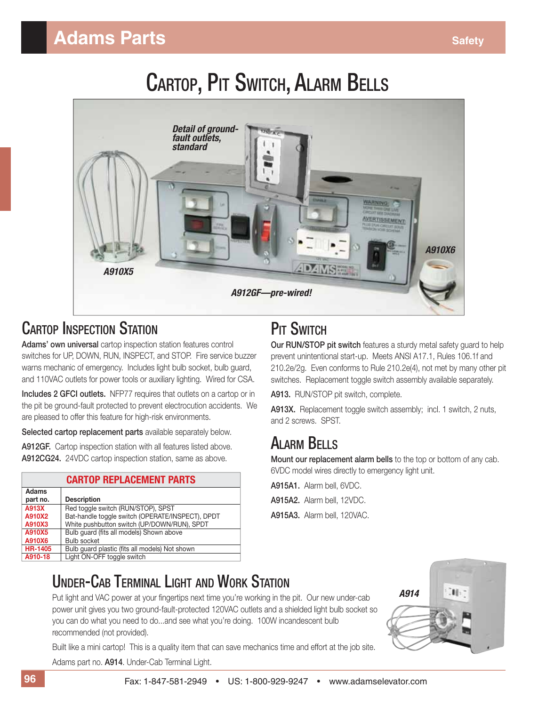# CARTOP, PIT SWITCH, ALARM BELLS



#### CARTOP INSPECTION STATION

**Adams' own universal** cartop inspection station features control switches for UP, DOWN, RUN, INSPECT, and STOP. Fire service buzzer warns mechanic of emergency. Includes light bulb socket, bulb guard, and 110VAC outlets for power tools or auxiliary lighting. Wired for CSA.

**Includes 2 GFCI outlets.** NFP77 requires that outlets on a cartop or in the pit be ground-fault protected to prevent electrocution accidents. We are pleased to offer this feature for high-risk environments.

**Selected cartop replacement parts** available separately below.

**A912GF.** Cartop inspection station with all features listed above. **A912CG24.** 24VDC cartop inspection station, same as above.

| <b>CARTOP REPLACEMENT PARTS</b> |                                                  |  |  |  |  |
|---------------------------------|--------------------------------------------------|--|--|--|--|
| <b>Adams</b><br>part no.        | <b>Description</b>                               |  |  |  |  |
| A913X                           | Red toggle switch (RUN/STOP), SPST               |  |  |  |  |
| A910X2                          | Bat-handle toggle switch (OPERATE/INSPECT), DPDT |  |  |  |  |
| A910X3                          | White pushbutton switch (UP/DOWN/RUN), SPDT      |  |  |  |  |
| A910X5                          | Bulb quard (fits all models) Shown above         |  |  |  |  |
| A910X6                          | <b>Bulb socket</b>                               |  |  |  |  |
| <b>HR-1405</b>                  | Bulb guard plastic (fits all models) Not shown   |  |  |  |  |
| A910-18                         | Light ON-OFF toggle switch                       |  |  |  |  |
|                                 |                                                  |  |  |  |  |

### **PIT SWITCH**

**Our RUN/STOP pit switch** features a sturdy metal safety guard to help prevent unintentional start-up. Meets ANSI A17.1, Rules 106.1f and 210.2e/2g. Even conforms to Rule 210.2e(4), not met by many other pit switches. Replacement toggle switch assembly available separately.

**A913.** RUN/STOP pit switch, complete.

**A913X.** Replacement toggle switch assembly; incl. 1 switch, 2 nuts, and 2 screws. SPST.

#### ALARM BELLS

**Mount our replacement alarm bells** to the top or bottom of any cab. 6VDC model wires directly to emergency light unit.

**A915A1.** Alarm bell, 6VDC.

**A915A2.** Alarm bell, 12VDC.

**A915A3.** Alarm bell, 120VAC.

#### UNDER-CAB TERMINAL LIGHT AND WORK STATION

Put light and VAC power at your fingertips next time you're working in the pit. Our new under-cab power unit gives you two ground-fault-protected 120VAC outlets and a shielded light bulb socket so you can do what you need to do...and see what you're doing. 100W incandescent bulb recommended (not provided).

Built like a mini cartop! This is a quality item that can save mechanics time and effort at the job site. Adams part no. **A914**. Under-Cab Terminal Light.

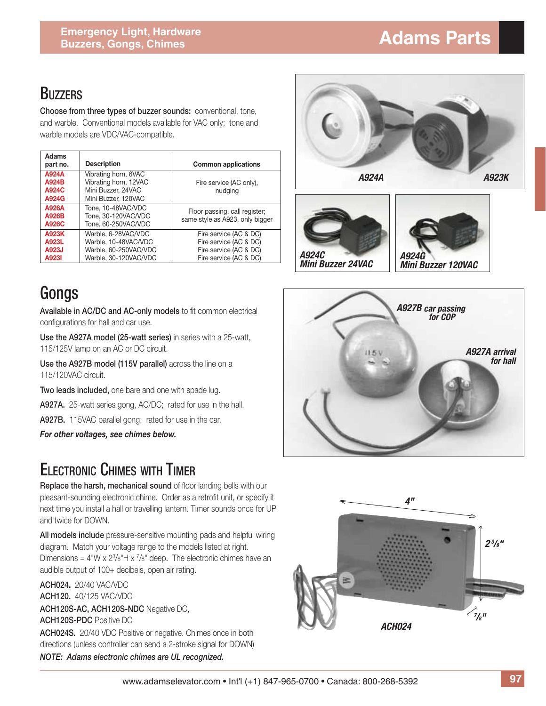#### **BUZZERS**

**Choose from three types of buzzer sounds:** conventional, tone, and warble. Conventional models available for VAC only; tone and warble models are VDC/VAC-compatible.

| Adams<br>part no.                | <b>Description</b>                                                                            | <b>Common applications</b>                                                                           |
|----------------------------------|-----------------------------------------------------------------------------------------------|------------------------------------------------------------------------------------------------------|
| A924A<br>A924B<br>A924C<br>A924G | Vibrating horn, 6VAC<br>Vibrating horn, 12VAC<br>Mini Buzzer, 24VAC<br>Mini Buzzer, 120VAC    | Fire service (AC only),<br>nudging                                                                   |
| A926A<br>A926B<br>A926C          | Tone, 10-48VAC/VDC<br>Tone, 30-120VAC/VDC<br>Tone, 60-250VAC/VDC                              | Floor passing, call register;<br>same style as A923, only bigger                                     |
| A923K<br>A923L<br>A923J<br>A923I | Warble, 6-28VAC/VDC<br>Warble, 10-48VAC/VDC<br>Warble, 60-250VAC/VDC<br>Warble, 30-120VAC/VDC | Fire service (AC & DC)<br>Fire service (AC & DC)<br>Fire service (AC & DC)<br>Fire service (AC & DC) |

## Gongs

Available in AC/DC and AC-only models to fit common electrical configurations for hall and car use.

**Use the A927A model (25-watt series)** in series with a 25-watt, 115/125V lamp on an AC or DC circuit.

**Use the A927B model (115V parallel)** across the line on a 115/120VAC circuit.

**Two leads included,** one bare and one with spade lug.

**A927A.** 25-watt series gong, AC/DC; rated for use in the hall.

**A927B.** 115VAC parallel gong; rated for use in the car.

*For other voltages, see chimes below.*

### ELECTRONIC CHIMES WITH TIMER

**Replace the harsh, mechanical sound** of floor landing bells with our pleasant-sounding electronic chime. Order as a retrofit unit, or specify it next time you install a hall or travelling lantern. Timer sounds once for UP and twice for DOWN.

**All models include** pressure-sensitive mounting pads and helpful wiring diagram. Match your voltage range to the models listed at right. Dimensions =  $4''W \times 2^{3}/8''H \times \frac{7}{8}''$  deep. The electronic chimes have an audible output of 100+ decibels, open air rating.

**ACH024.** 20/40 VAC/VDC **ACH120.** 40/125 VAC/VDC **ACH120S-AC, ACH120S-NDC** Negative DC, **ACH120S-PDC** Positive DC **ACH024S.** 20/40 VDC Positive or negative. Chimes once in both directions (unless controller can send a 2-stroke signal for DOWN) *NOTE: Adams electronic chimes are UL recognized.*







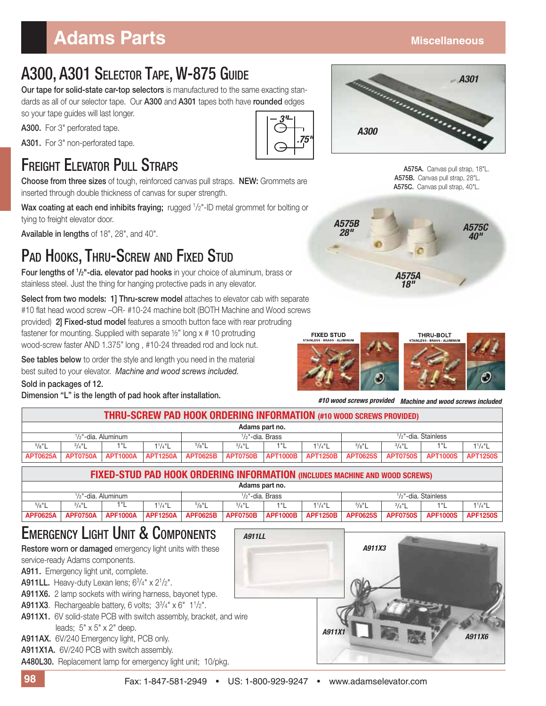## **Adams Parts Miscellaneous**

### A300, A301 SELECTOR TAPE, W-875 GUIDE

**Our tape for solid-state car-top selectors** is manufactured to the same exacting standards as all of our selector tape. Our **A300** and **A301** tapes both have **rounded** edges so your tape guides will last longer.

**A300.** For 3" perforated tape.

**A301.** For 3" non-perforated tape.

### FREIGHT ELEVATOR PULL STRAPS

**Choose from three sizes** of tough, reinforced canvas pull straps. **NEW:** Grommets are inserted through double thickness of canvas for super strength.

Wax coating at each end inhibits fraying; rugged <sup>1</sup>/2"-ID metal grommet for bolting or tying to freight elevator door.

**Available in lengths** of 18", 28", and 40".

### PAD HOOKS, THRU-SCREW AND FIXED STUD

**Four lengths of 1 /2"-dia. elevator pad hooks** in your choice of aluminum, brass or stainless steel. Just the thing for hanging protective pads in any elevator.

**Select from two models: 1] Thru-screw model** attaches to elevator cab with separate #10 flat head wood screw -OR- #10-24 machine bolt (BOTH Machine and Wood screws provided) **2] Fixed-stud model** features a smooth button face with rear protruding fastener for mounting. Supplied with separate ½" long x # 10 protruding wood-screw faster AND 1.375" long , #10-24 threaded rod and lock nut.

**See tables below** to order the style and length you need in the material best suited to your elevator. *Machine and wood screws included.*

**Sold in packages of 12.**

**Dimension "L" is the length of pad hook after installation.**





**A575A.** Canvas pull strap, 18"L.  **A575B.** Canvas pull strap, 28"L.  **A575C.** Canvas pull strap, 40"L.





*#10 wood screws provided Machine and wood screws included*

| THRU-SCREW PAD HOOK ORDERING INFORMATION (#10 WOOD SCREWS PROVIDED)                    |                                                                                                                                                                                                                                                                                                                                            |                 |                 |                                                                    |                 |                    |                 |                 |                 |                        |                 |
|----------------------------------------------------------------------------------------|--------------------------------------------------------------------------------------------------------------------------------------------------------------------------------------------------------------------------------------------------------------------------------------------------------------------------------------------|-----------------|-----------------|--------------------------------------------------------------------|-----------------|--------------------|-----------------|-----------------|-----------------|------------------------|-----------------|
| Adams part no.                                                                         |                                                                                                                                                                                                                                                                                                                                            |                 |                 |                                                                    |                 |                    |                 |                 |                 |                        |                 |
| $1/2$ "-dia. Brass<br>$1/2$ "-dia. Aluminum                                            |                                                                                                                                                                                                                                                                                                                                            |                 |                 | $1/2$ "-dia. Stainless                                             |                 |                    |                 |                 |                 |                        |                 |
| $^{5}/8$ "L                                                                            | $^{3}/_{4}$ "L                                                                                                                                                                                                                                                                                                                             | 1"L             | $1^{1}/4$ "L    | $^{5}/8$ "L                                                        | $^{3}/_{4}$ "L  | 1"L                | $1^{1}/4$ "L    | $^{5}/8"$ L     | $^{3}/_{4}$ "L  | 1"L                    | $1^{1}/4$ "L    |
| <b>APT0625A</b>                                                                        | <b>APT0750A</b>                                                                                                                                                                                                                                                                                                                            | <b>APT1000A</b> | <b>APT1250A</b> | <b>APT0625B</b>                                                    | <b>APT0750B</b> | <b>APT1000B</b>    | <b>APT1250B</b> | <b>APT0625S</b> | <b>APT0750S</b> | <b>APT1000S</b>        | <b>APT1250S</b> |
| FIXED-STUD PAD HOOK ORDERING INFORMATION (INCLUDES MACHINE AND WOOD SCREWS)            |                                                                                                                                                                                                                                                                                                                                            |                 |                 |                                                                    |                 |                    |                 |                 |                 |                        |                 |
|                                                                                        |                                                                                                                                                                                                                                                                                                                                            |                 |                 |                                                                    |                 | Adams part no.     |                 |                 |                 |                        |                 |
|                                                                                        | $1/2$ "-dia. Aluminum                                                                                                                                                                                                                                                                                                                      |                 |                 |                                                                    |                 | $1/2$ "-dia. Brass |                 |                 |                 | $1/2$ "-dia. Stainless |                 |
| $5/8$ "L                                                                               | $3/4$ "L                                                                                                                                                                                                                                                                                                                                   | 1"L             | $1^{1}/4$ "L    | $^{5}/8$ "L                                                        | $^{3}/_{4}$ "L  | 1"L                | $1^{1}/4$ "L    | $^{5}/8$ "L     | $^{3}/_{4}$ "L  | 1"L                    | $1^{1}/4$ "L    |
| <b>APF0625A</b>                                                                        | <b>APF0750A</b>                                                                                                                                                                                                                                                                                                                            | <b>APF1000A</b> | <b>APF1250A</b> | <b>APF0625B</b>                                                    | <b>APF0750B</b> | <b>APF1000B</b>    | <b>APF1250B</b> | <b>APF0625S</b> | <b>APF0750S</b> | <b>APF1000S</b>        | <b>APF1250S</b> |
|                                                                                        | service-ready Adams components.<br>A911. Emergency light unit, complete.<br><b>A911LL.</b> Heavy-duty Lexan lens; $6\frac{3}{4}$ x $2\frac{1}{2}$ ".<br>A911X6. 2 lamp sockets with wiring harness, bayonet type.<br><b>A911X3.</b> Rechargeable battery, 6 volts; $3^{3}/4" \times 6" 1^{1}/2".$<br>leads; $5" \times 5" \times 2"$ deep. |                 |                 | A911X1. 6V solid-state PCB with switch assembly, bracket, and wire |                 |                    | A911X1          |                 |                 |                        | A911X6          |
| A911AX. 6V/240 Emergency light, PCB only.<br>A911X1A. 6V/240 PCB with switch assembly. |                                                                                                                                                                                                                                                                                                                                            |                 |                 |                                                                    |                 |                    |                 |                 |                 |                        |                 |
|                                                                                        | A480L30. Replacement lamp for emergency light unit; 10/pkg.                                                                                                                                                                                                                                                                                |                 |                 |                                                                    |                 |                    |                 |                 |                 |                        |                 |